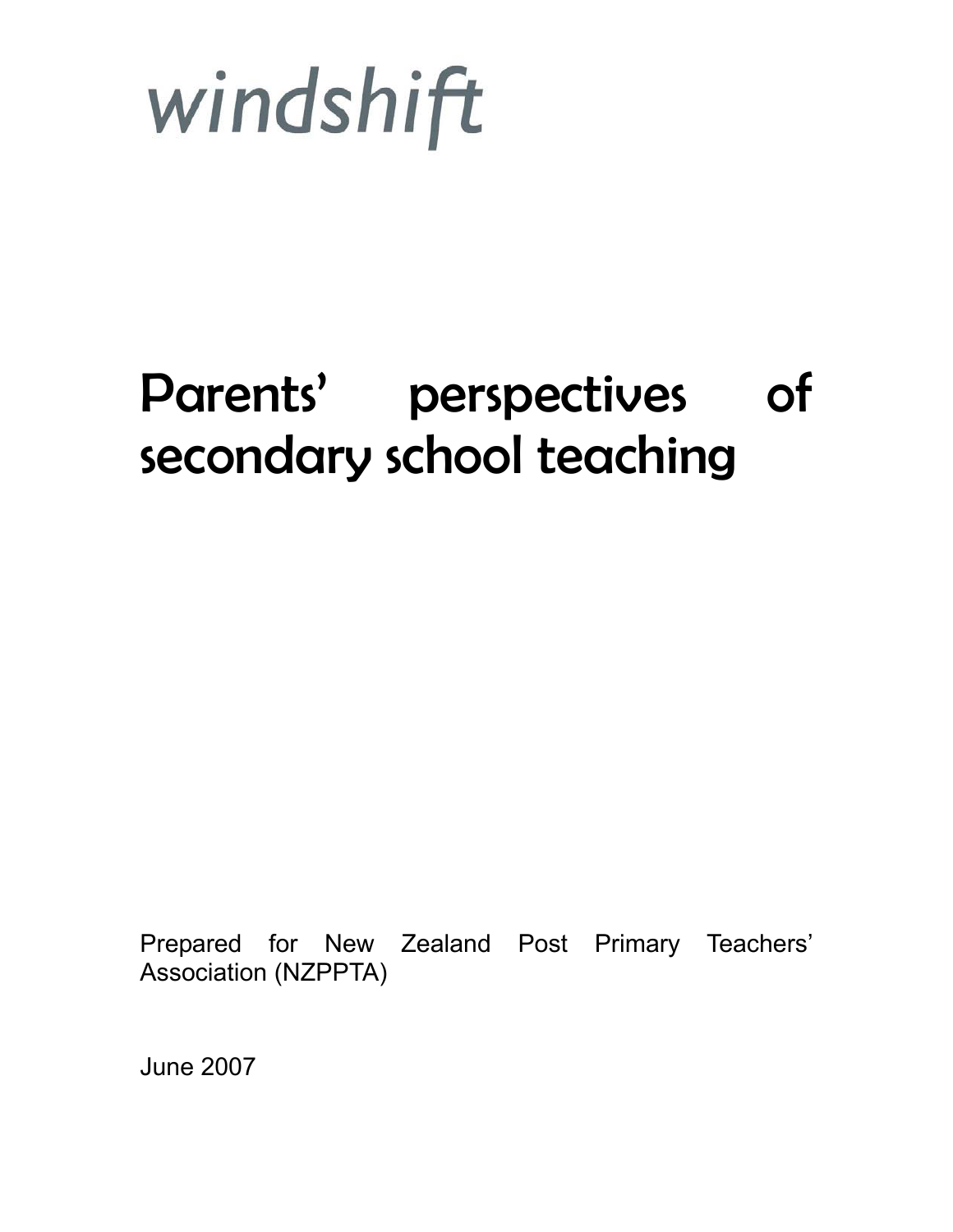

# Parents' perspectives of secondary school teaching

Prepared for New Zealand Post Primary Teachers' Association (NZPPTA)

June 2007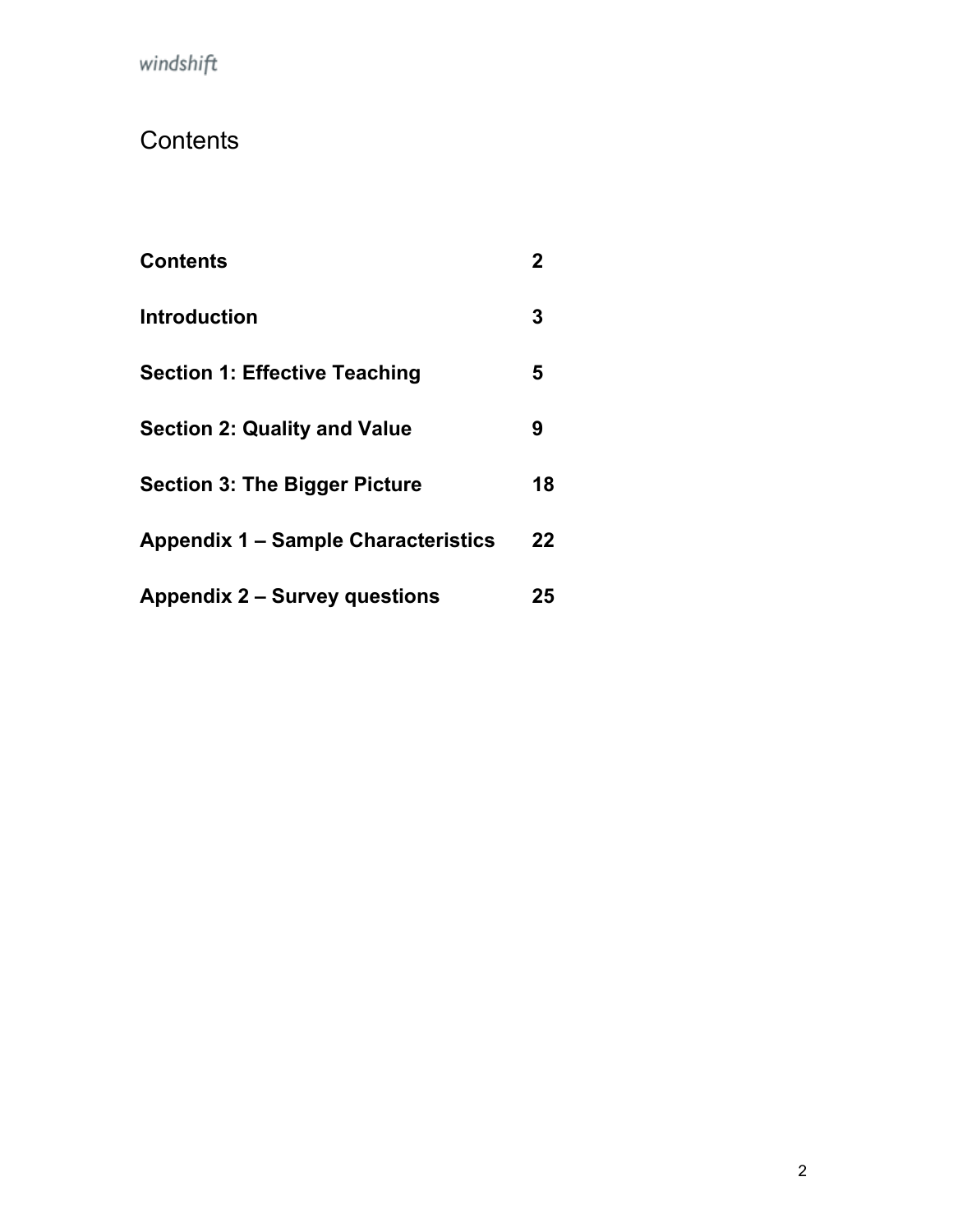# <span id="page-1-0"></span>**Contents**

| <b>Contents</b>                            | $\mathbf 2$ |
|--------------------------------------------|-------------|
| <b>Introduction</b>                        | 3           |
| <b>Section 1: Effective Teaching</b>       | 5           |
| <b>Section 2: Quality and Value</b>        | 9           |
| <b>Section 3: The Bigger Picture</b>       | 18          |
| <b>Appendix 1 – Sample Characteristics</b> | 22          |
| <b>Appendix 2 – Survey questions</b>       | 25          |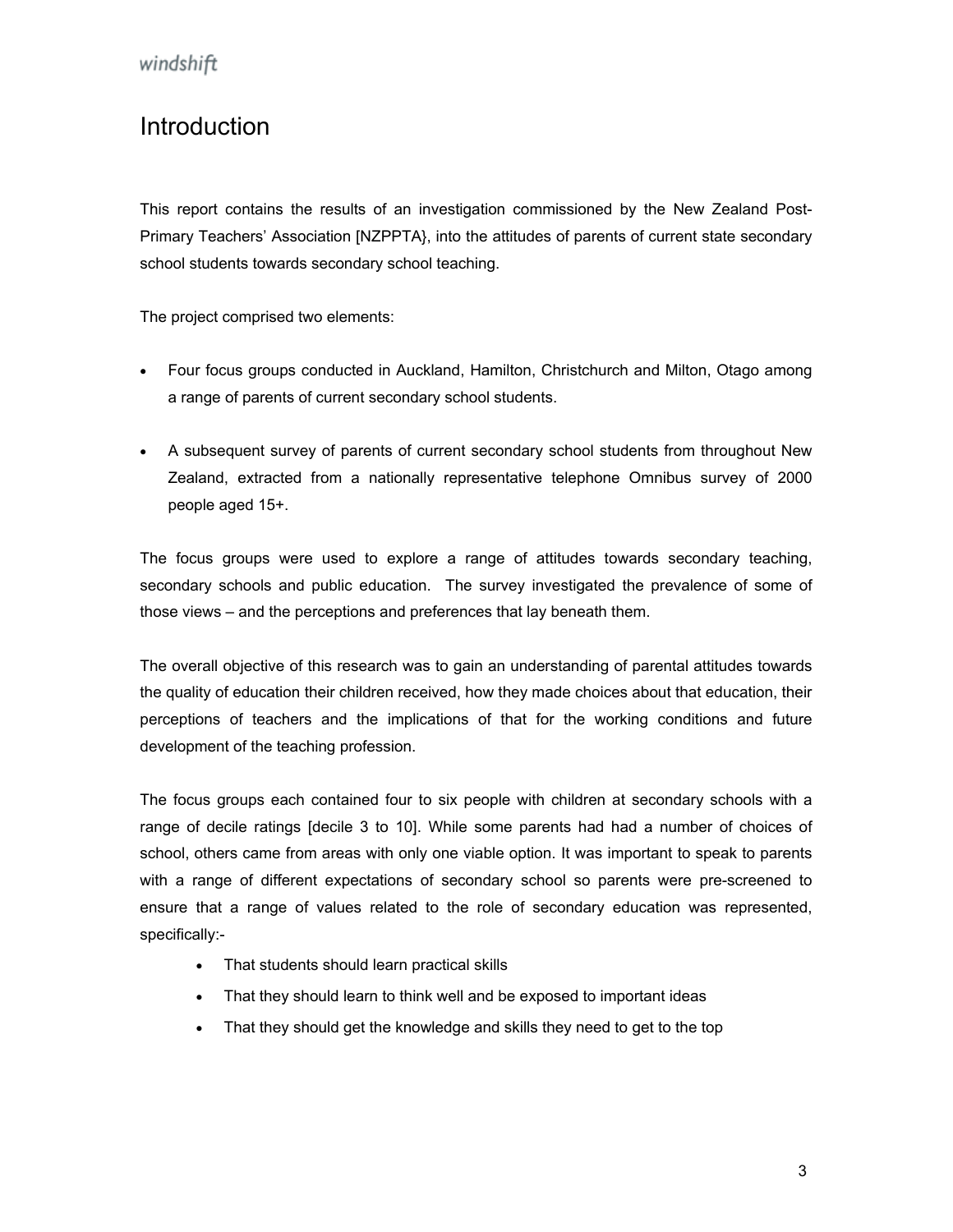## <span id="page-2-0"></span>Introduction

This report contains the results of an investigation commissioned by the New Zealand Post-Primary Teachers' Association [NZPPTA}, into the attitudes of parents of current state secondary school students towards secondary school teaching.

The project comprised two elements:

- Four focus groups conducted in Auckland, Hamilton, Christchurch and Milton, Otago among a range of parents of current secondary school students.
- A subsequent survey of parents of current secondary school students from throughout New Zealand, extracted from a nationally representative telephone Omnibus survey of 2000 people aged 15+.

The focus groups were used to explore a range of attitudes towards secondary teaching, secondary schools and public education. The survey investigated the prevalence of some of those views – and the perceptions and preferences that lay beneath them.

The overall objective of this research was to gain an understanding of parental attitudes towards the quality of education their children received, how they made choices about that education, their perceptions of teachers and the implications of that for the working conditions and future development of the teaching profession.

The focus groups each contained four to six people with children at secondary schools with a range of decile ratings [decile 3 to 10]. While some parents had had a number of choices of school, others came from areas with only one viable option. It was important to speak to parents with a range of different expectations of secondary school so parents were pre-screened to ensure that a range of values related to the role of secondary education was represented, specifically:-

- That students should learn practical skills
- That they should learn to think well and be exposed to important ideas
- That they should get the knowledge and skills they need to get to the top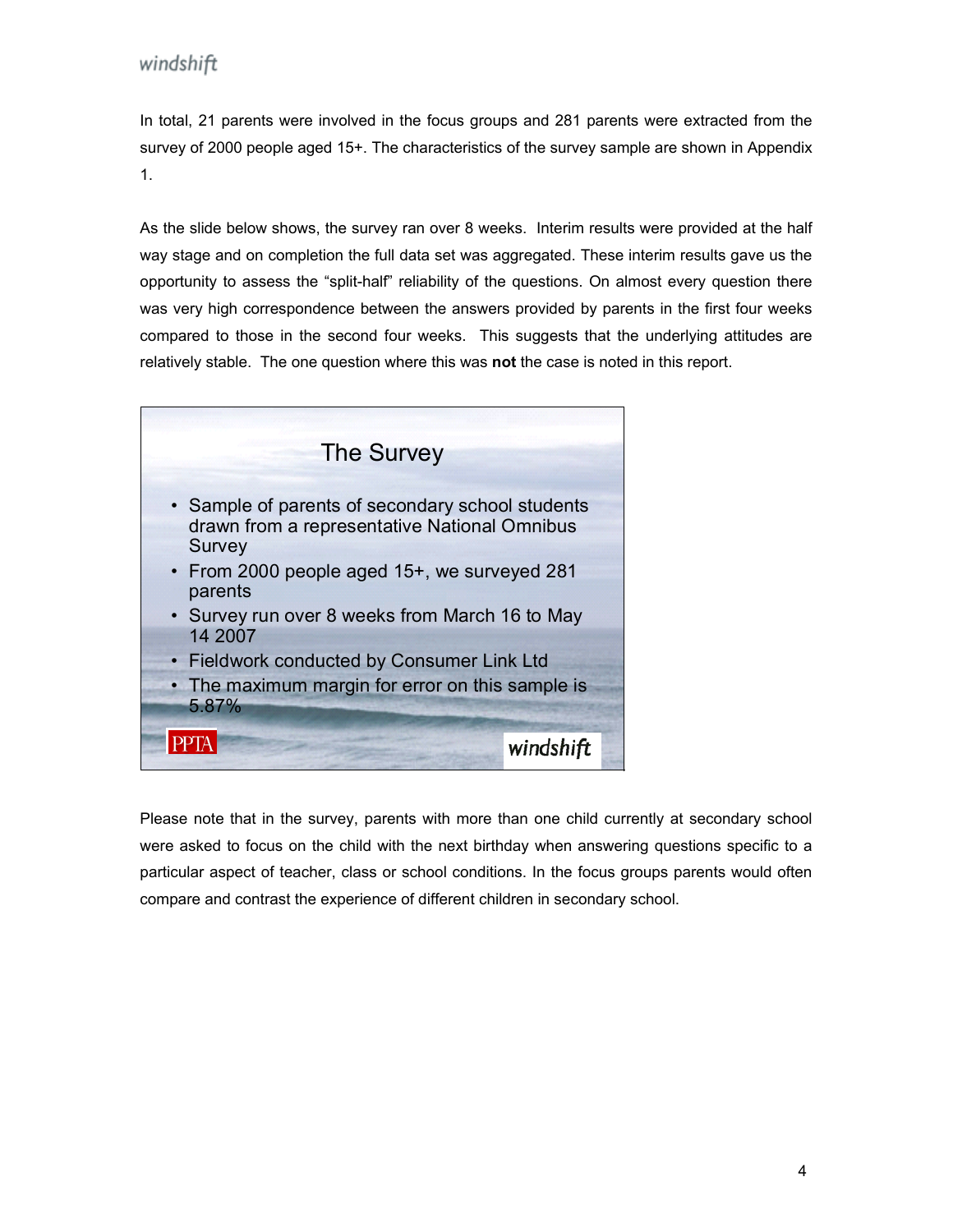In total, 21 parents were involved in the focus groups and 281 parents were extracted from the survey of 2000 people aged 15+. The characteristics of the survey sample are shown in Appendix 1.

As the slide below shows, the survey ran over 8 weeks. Interim results were provided at the half way stage and on completion the full data set was aggregated. These interim results gave us the opportunity to assess the "split-half" reliability of the questions. On almost every question there was very high correspondence between the answers provided by parents in the first four weeks compared to those in the second four weeks. This suggests that the underlying attitudes are relatively stable. The one question where this was **not** the case is noted in this report.



Please note that in the survey, parents with more than one child currently at secondary school were asked to focus on the child with the next birthday when answering questions specific to a particular aspect of teacher, class or school conditions. In the focus groups parents would often compare and contrast the experience of different children in secondary school.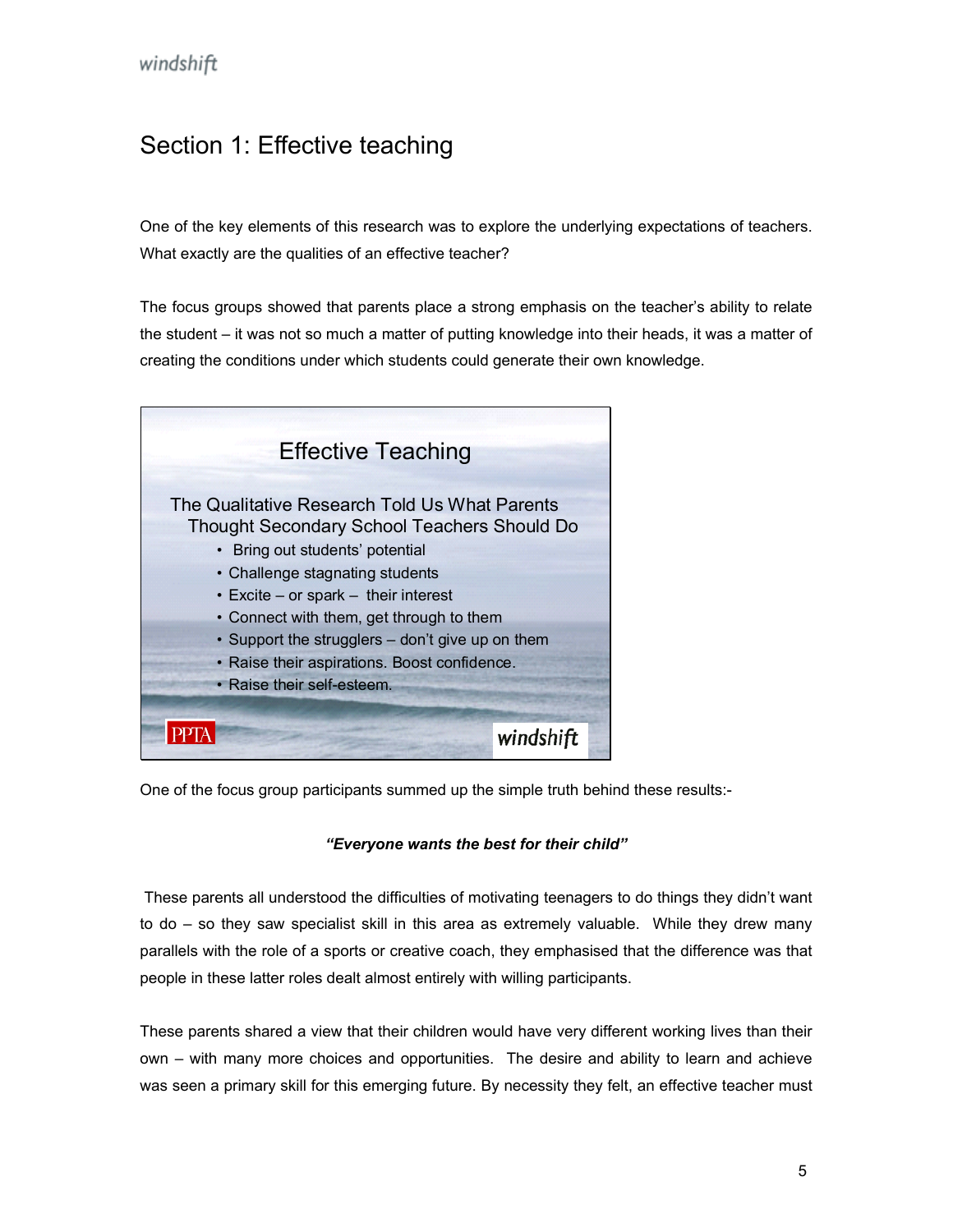## <span id="page-4-0"></span>Section 1: Effective teaching

One of the key elements of this research was to explore the underlying expectations of teachers. What exactly are the qualities of an effective teacher?

The focus groups showed that parents place a strong emphasis on the teacher's ability to relate the student – it was not so much a matter of putting knowledge into their heads, it was a matter of creating the conditions under which students could generate their own knowledge.



One of the focus group participants summed up the simple truth behind these results:-

#### *"Everyone wants the best for their child"*

 These parents all understood the difficulties of motivating teenagers to do things they didn't want to do – so they saw specialist skill in this area as extremely valuable. While they drew many parallels with the role of a sports or creative coach, they emphasised that the difference was that people in these latter roles dealt almost entirely with willing participants.

These parents shared a view that their children would have very different working lives than their own – with many more choices and opportunities. The desire and ability to learn and achieve was seen a primary skill for this emerging future. By necessity they felt, an effective teacher must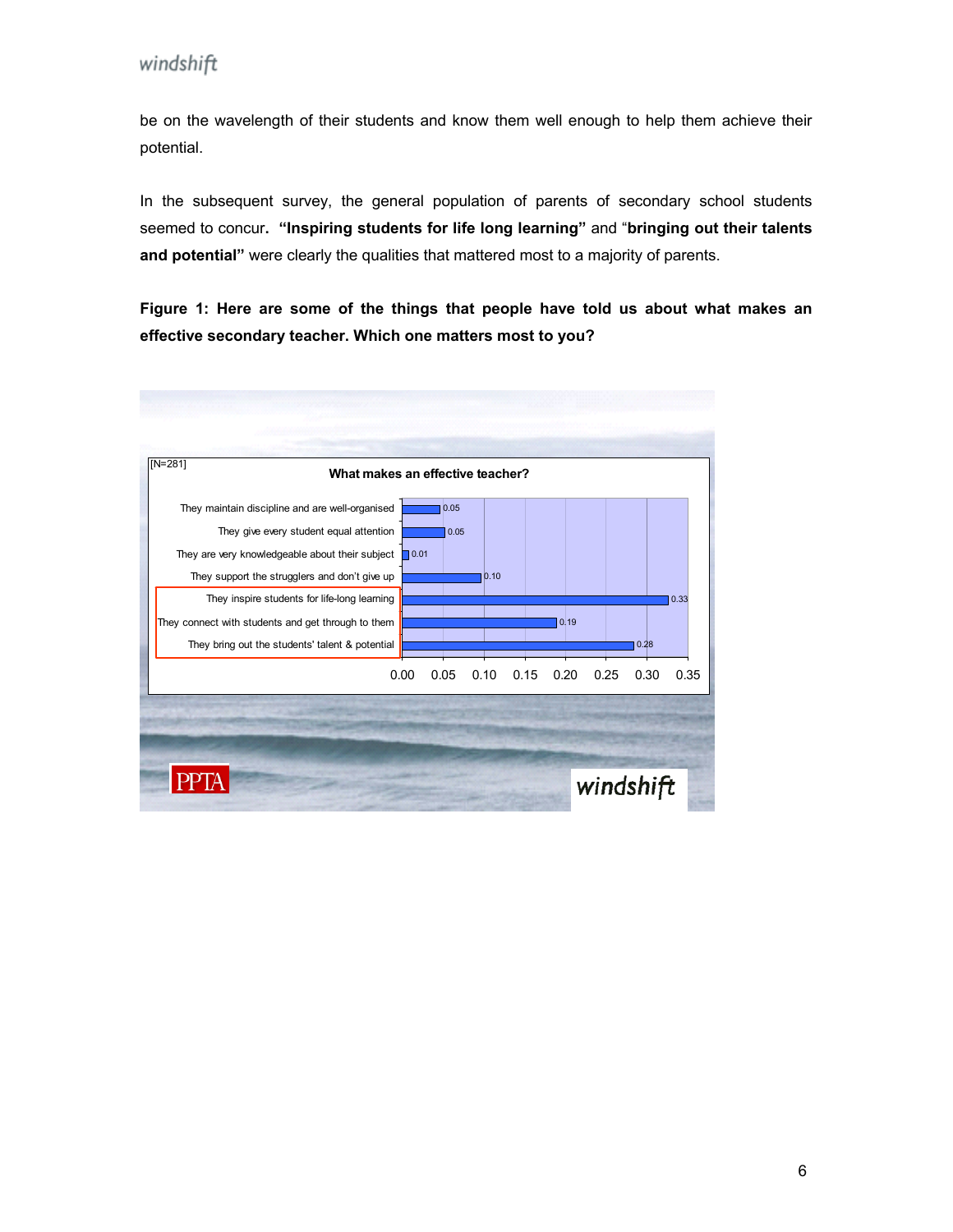be on the wavelength of their students and know them well enough to help them achieve their potential.

In the subsequent survey, the general population of parents of secondary school students seemed to concur**. "Inspiring students for life long learning"** and "**bringing out their talents and potential"** were clearly the qualities that mattered most to a majority of parents.

**Figure 1: Here are some of the things that people have told us about what makes an effective secondary teacher. Which one matters most to you?** 

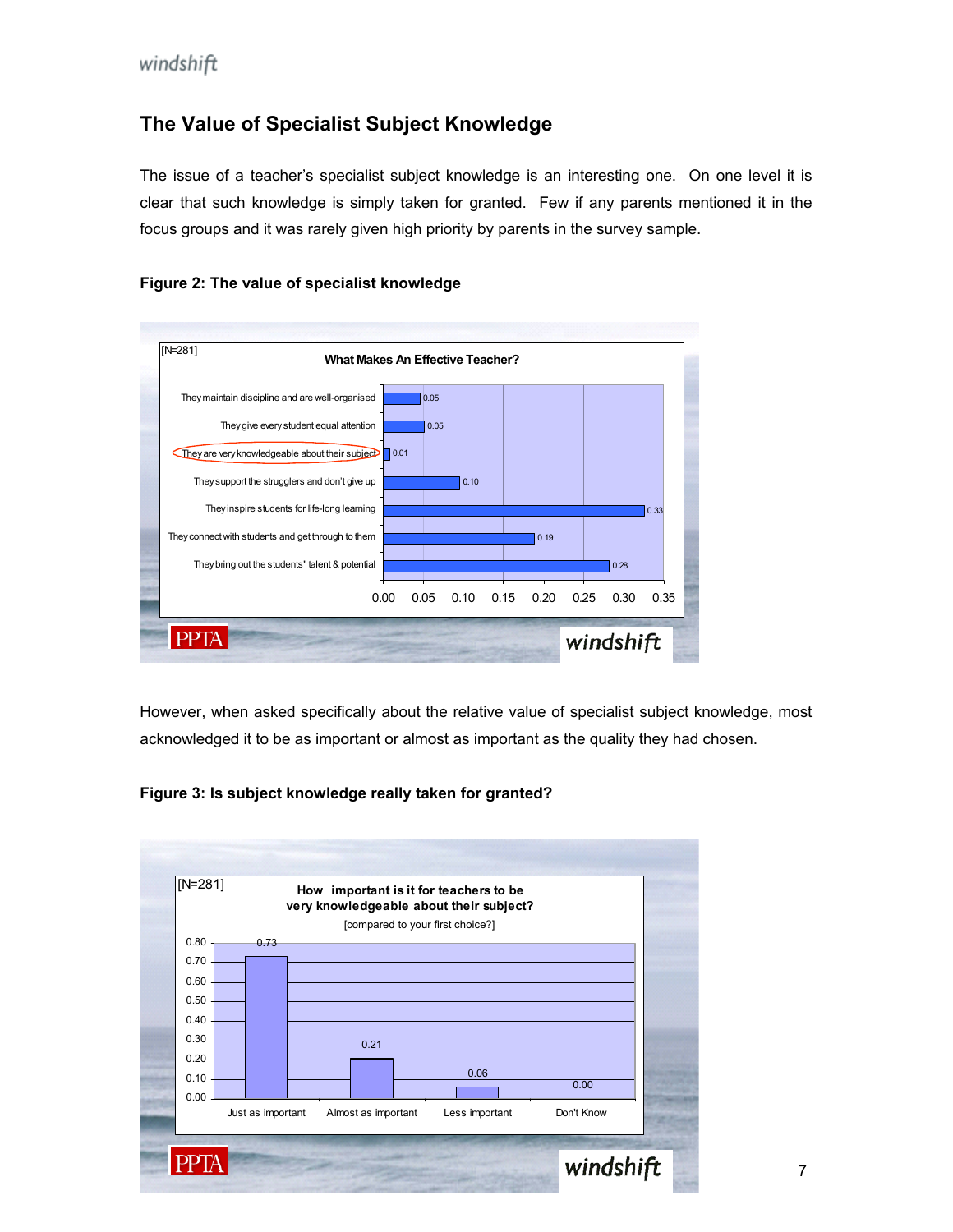## **The Value of Specialist Subject Knowledge**

The issue of a teacher's specialist subject knowledge is an interesting one. On one level it is clear that such knowledge is simply taken for granted. Few if any parents mentioned it in the focus groups and it was rarely given high priority by parents in the survey sample.





However, when asked specifically about the relative value of specialist subject knowledge, most acknowledged it to be as important or almost as important as the quality they had chosen.



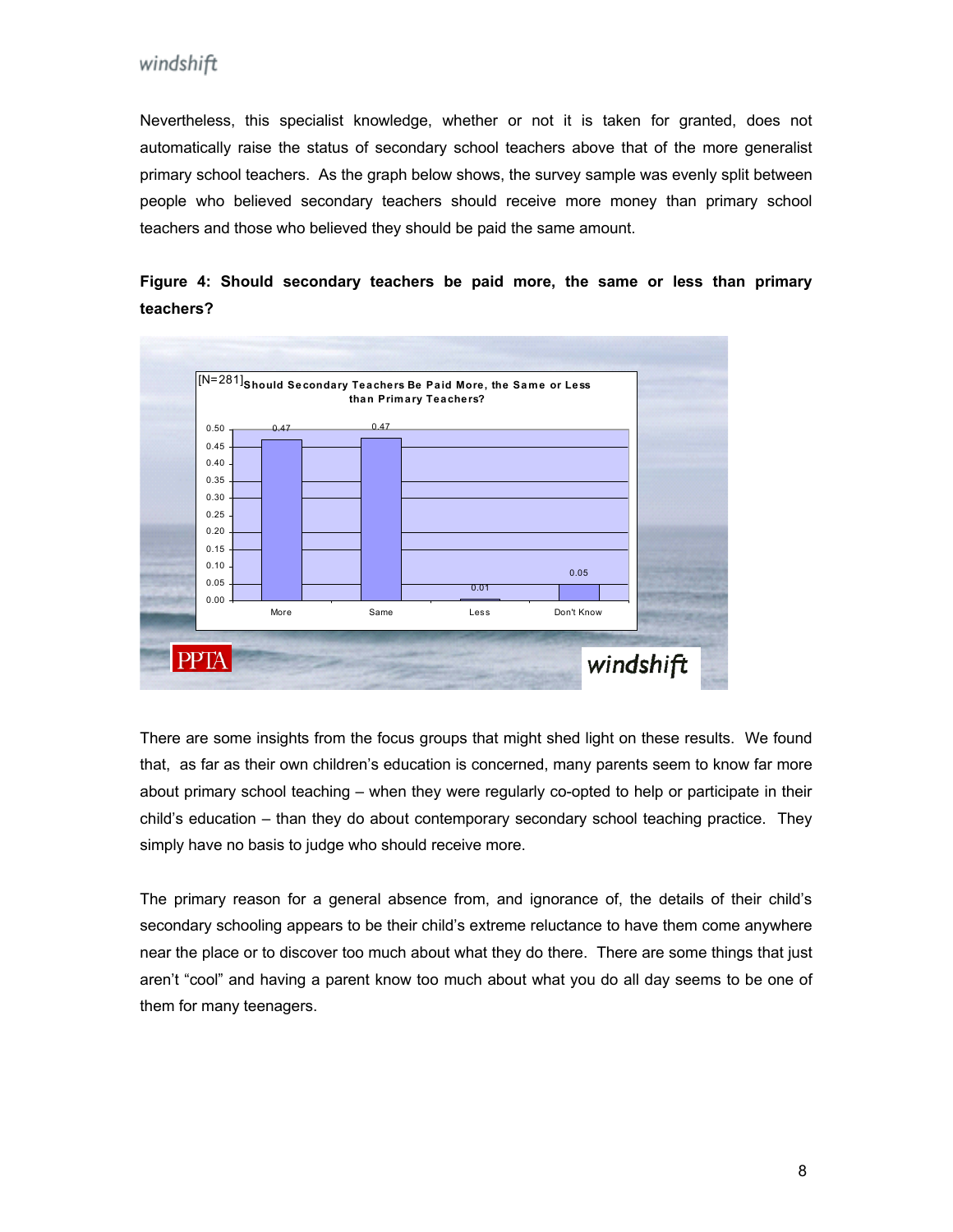Nevertheless, this specialist knowledge, whether or not it is taken for granted, does not automatically raise the status of secondary school teachers above that of the more generalist primary school teachers. As the graph below shows, the survey sample was evenly split between people who believed secondary teachers should receive more money than primary school teachers and those who believed they should be paid the same amount.



**Figure 4: Should secondary teachers be paid more, the same or less than primary teachers?** 

There are some insights from the focus groups that might shed light on these results. We found that, as far as their own children's education is concerned, many parents seem to know far more about primary school teaching – when they were regularly co-opted to help or participate in their child's education – than they do about contemporary secondary school teaching practice. They simply have no basis to judge who should receive more.

The primary reason for a general absence from, and ignorance of, the details of their child's secondary schooling appears to be their child's extreme reluctance to have them come anywhere near the place or to discover too much about what they do there. There are some things that just aren't "cool" and having a parent know too much about what you do all day seems to be one of them for many teenagers.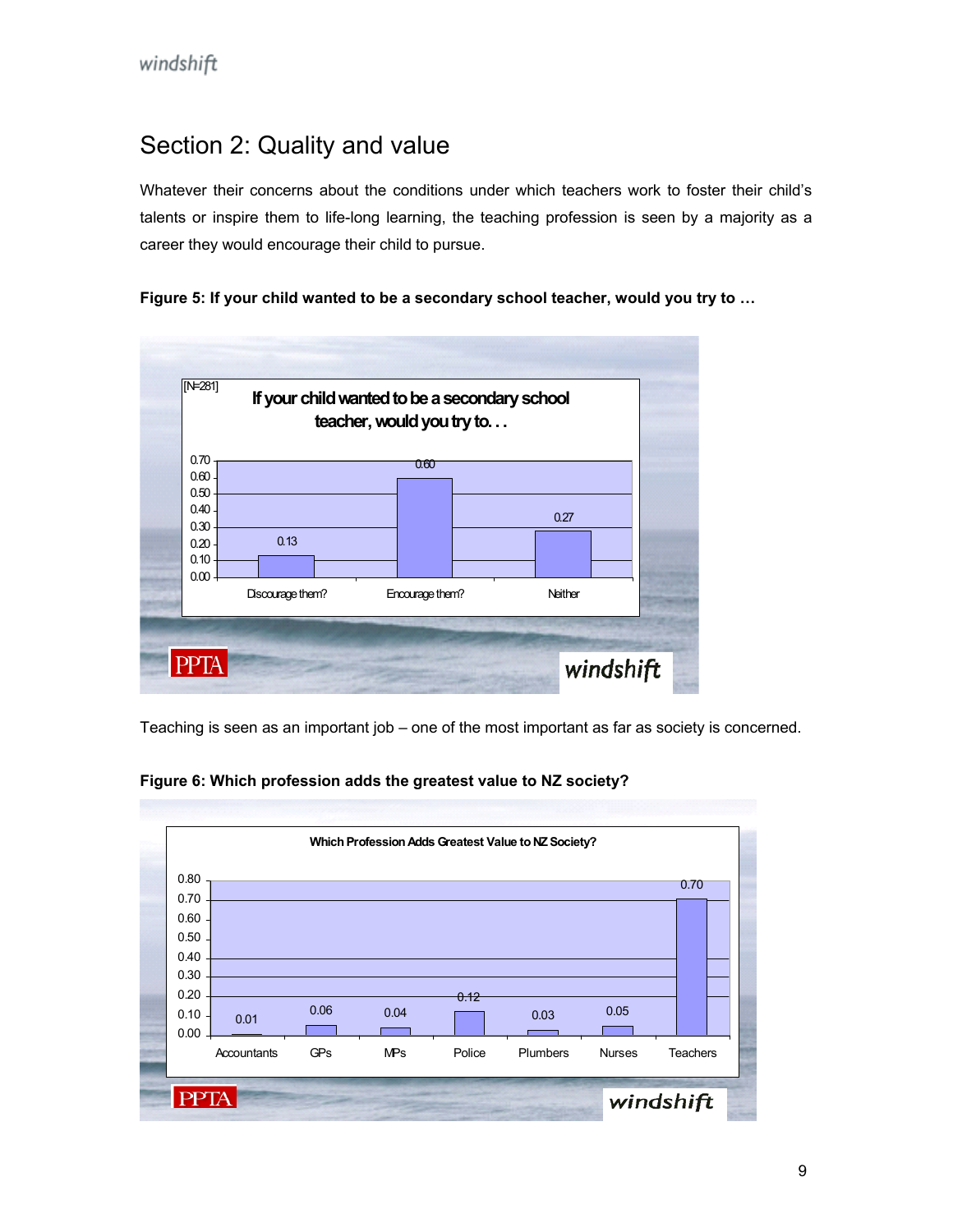## <span id="page-8-0"></span>Section 2: Quality and value

Whatever their concerns about the conditions under which teachers work to foster their child's talents or inspire them to life-long learning, the teaching profession is seen by a majority as a career they would encourage their child to pursue.





Teaching is seen as an important job – one of the most important as far as society is concerned.



**Figure 6: Which profession adds the greatest value to NZ society?**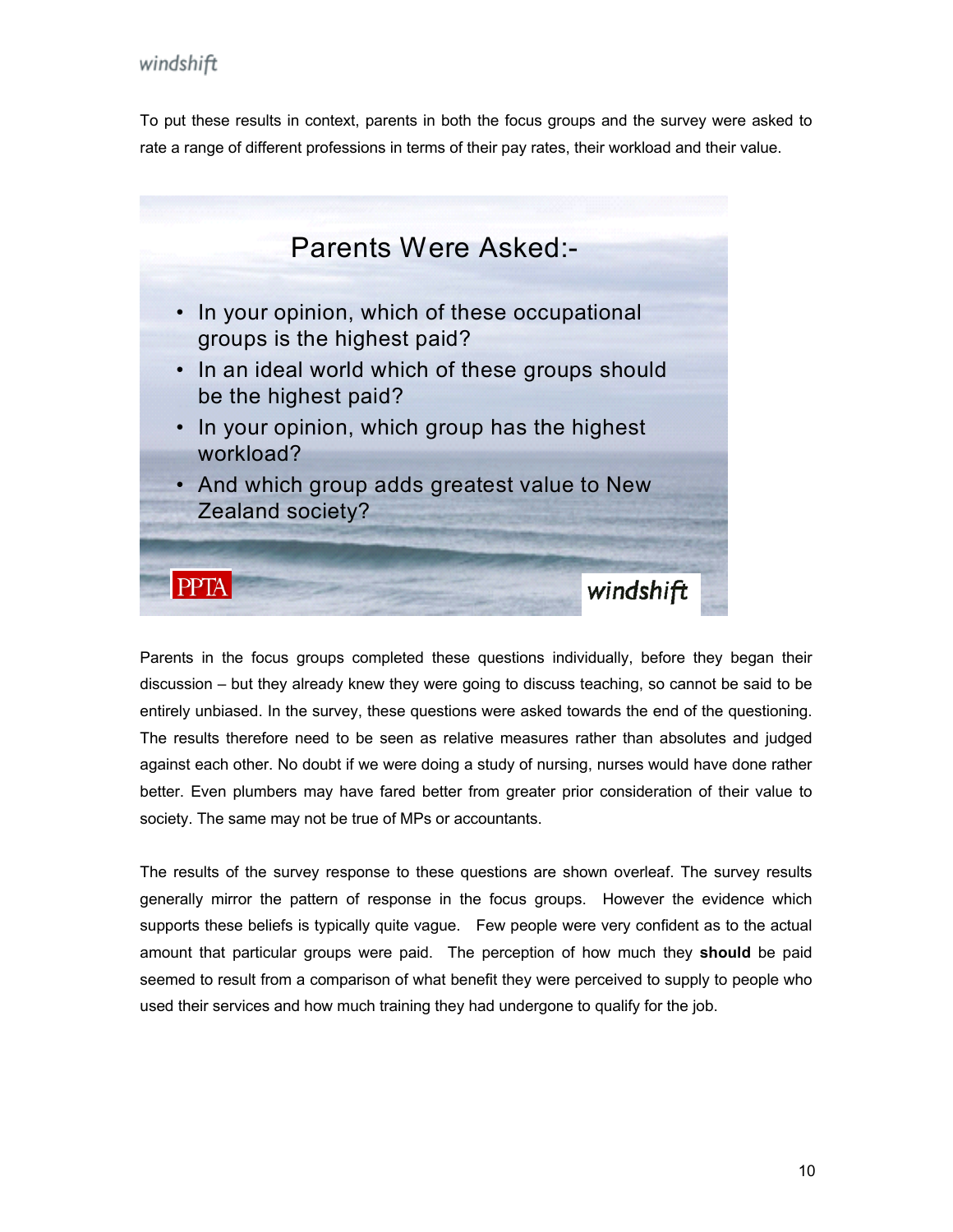To put these results in context, parents in both the focus groups and the survey were ask ed to rate a range of different professions in terms of their pay rates, their workload and their valu e.



Parents in the focus groups completed these questions individually, before they began their discussion – but they already knew they were going to discuss teaching, so cannot be said to be entirely unbiased. In the survey, these questions were asked towards the end of the questioning. The results therefore need to be seen as relative measures rather than absolutes and judged against each other. No doubt if we were doing a study of nursing, nurses would have done rather better. Even plumbers may have fared better from greater prior consideration of their value to society. The same may not be true of MPs or accountants.

The results of the survey response to these questions are shown overleaf. The survey results generally mirror the pattern of response in the focus groups. However the evidence which supports these beliefs is typically quite vague. Few people were very confident as to the actual amount that particular groups were paid. The perception of how much they **should** be paid seemed to result from a comparison of what benefit they were perceived to supply to people who used their services and how much training they had undergone to qualify for the job.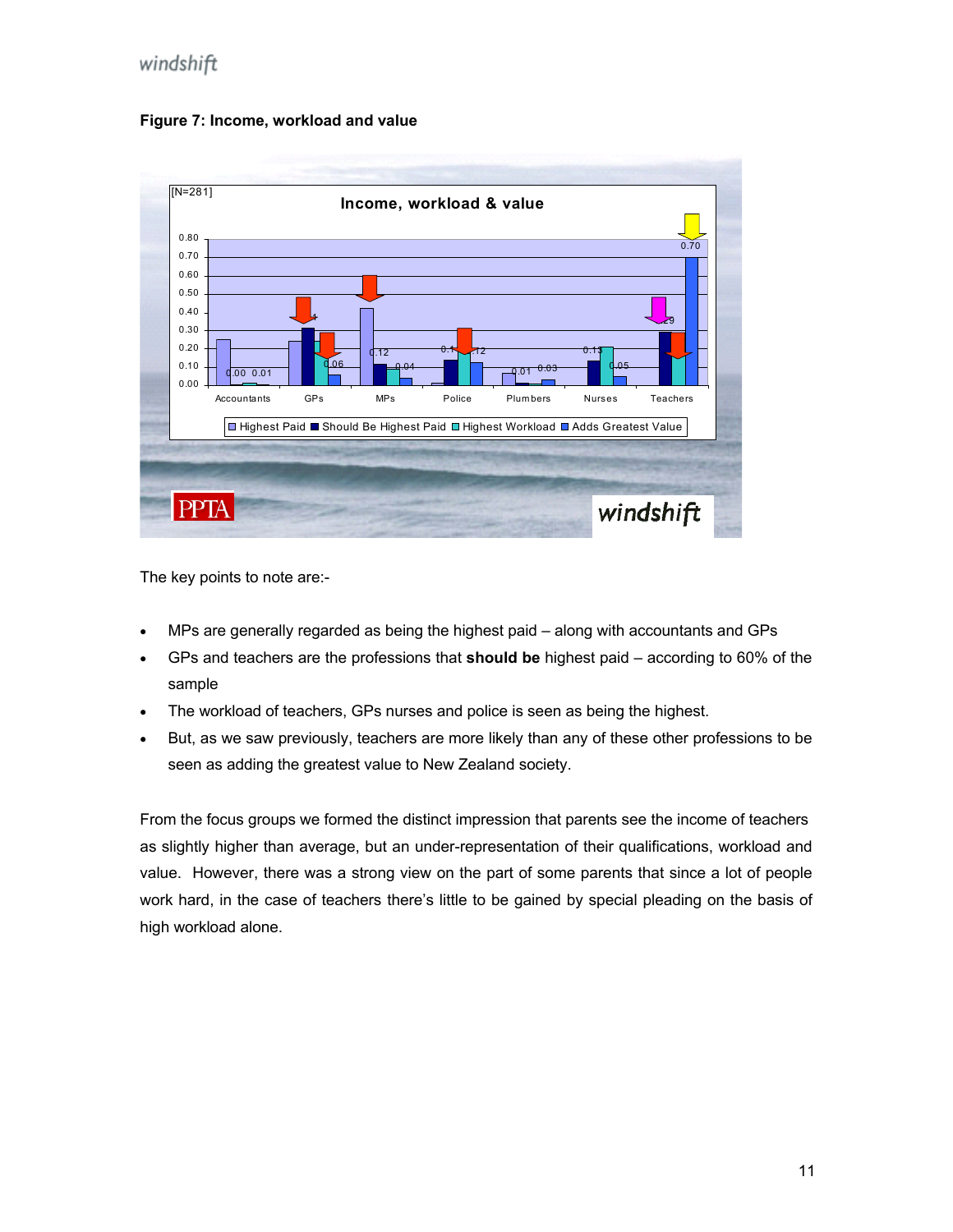#### **Figure 7: Income, workload and value**



The key points to note are:-

- MPs are generally regarded as being the highest paid along with accountants and GPs
- GPs and teachers are the professions that **should be** highest paid according to 60% of the sample
- The workload of teachers, GPs nurses and police is seen as being the highest.
- But, as we saw previously, teachers are more likely than any of these other professions to be seen as adding the greatest value to New Zealand society.

From the focus groups we formed the distinct impression that parents see the income of teachers as slightly higher than average, but an under-representation of their qualifications, workload and value. However, there was a strong view on the part of some parents that since a lot of people work hard, in the case of teachers there's little to be gained by special pleading on the basis of high workload alone.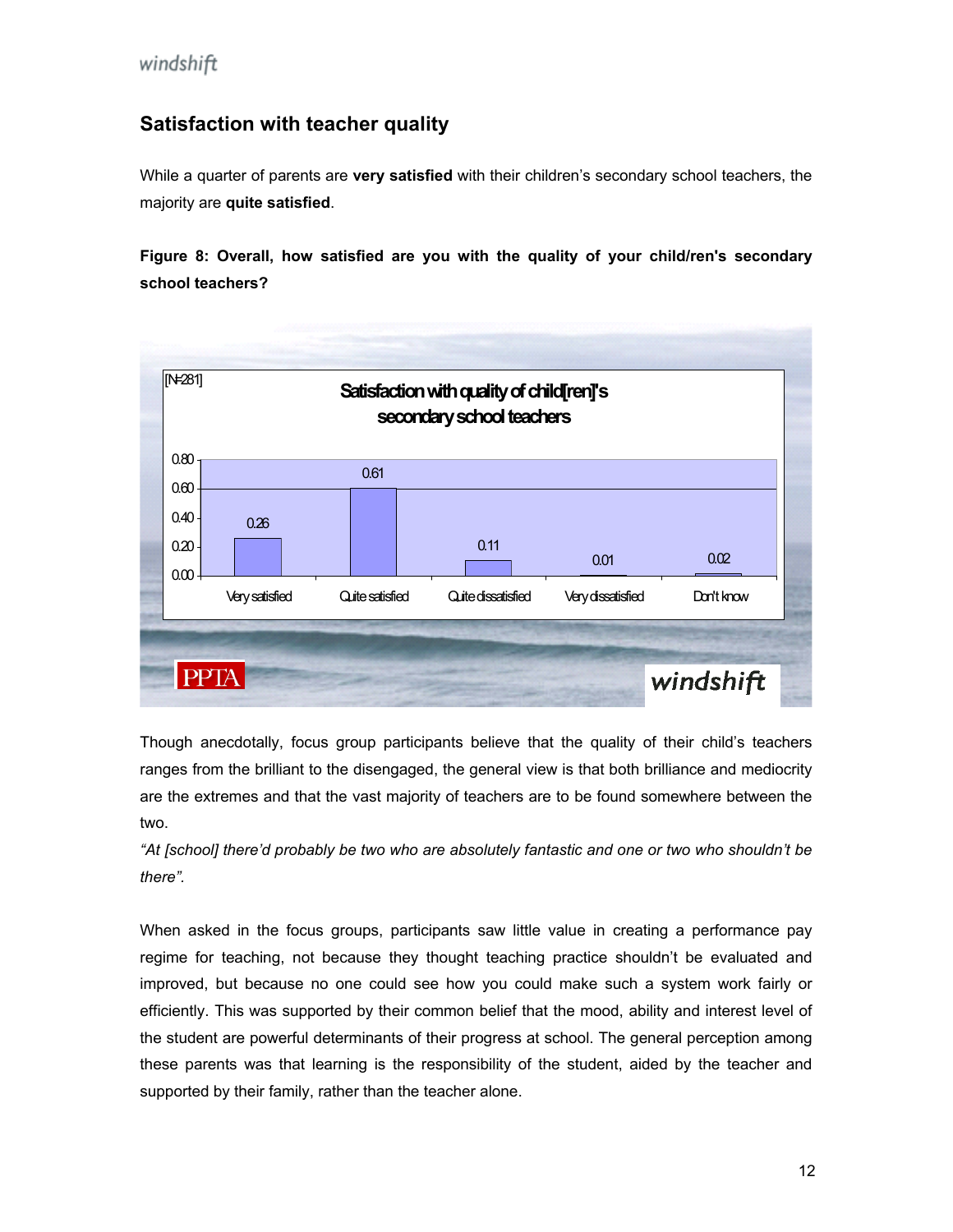### **Satisfaction with teacher quality**

While a quarter of parents are **very satisfied** with their children's secondary school teachers, the majority are **quite satisfied**.

Figure 8: Overall, how satisfied are you with the quality of your child/ren's secondary **school teachers?** 



ranges from the brilliant to the disengaged, the general view is that both brilliance and mediocrity are the extremes and that the vast majority of teachers are to be found somewhere between the Though anecdotally, focus group participants believe that the quality of their child's teachers two.

*"At [school] there'd probably be two who are absolutely fantastic and one or two who shouldn't be there".* 

When asked in the focus groups, participants saw little value in creating a performance pay regime for teaching, not because they thought teaching practice shouldn't be evaluated and improved, but because no one could see how you could make such a system work fairly or efficiently. This was supported by their common belief that the mood, ability and interest level of the student are powerful determinants of their progress at school. The general perception among these parents was that learning is the responsibility of the student, aided by the teacher and supported by their family, rather than the teacher alone.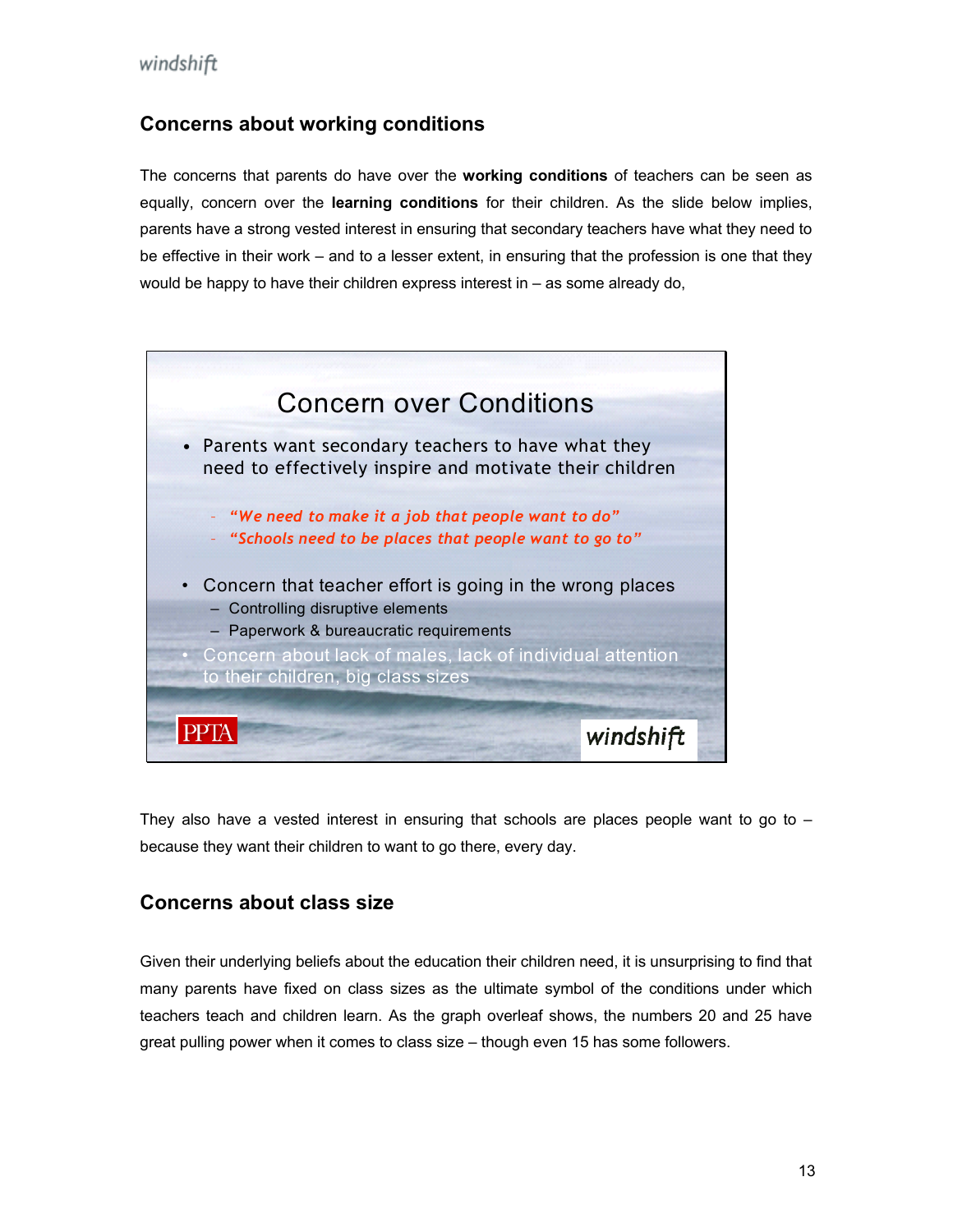#### **Concerns about working conditions**

equally, concern over the **learning conditions** for their children. As the slide below implies, parents have a strong vested interest in ensuring that secondary teachers have what they need to would be happy to have their children express interest in – as some already do, The concerns that parents do have over the **working conditions** of teachers can be seen as be effective in their work – and to a lesser extent, in ensuring that the profession is one that they



They also have a vested interest in ensuring that schools are places people want to go to  $$ because they want their children to want to go there, every day.

## **oncerns about class size C**

Given their underlying beliefs about the education their children need, it is unsurprising to find that many parents have fixed on class sizes as the ultimate symbol of the conditions under which teachers teach and children learn. As the graph overleaf shows, the numbers 20 and 25 have great pulling power when it comes to class size – though even 15 has some followers.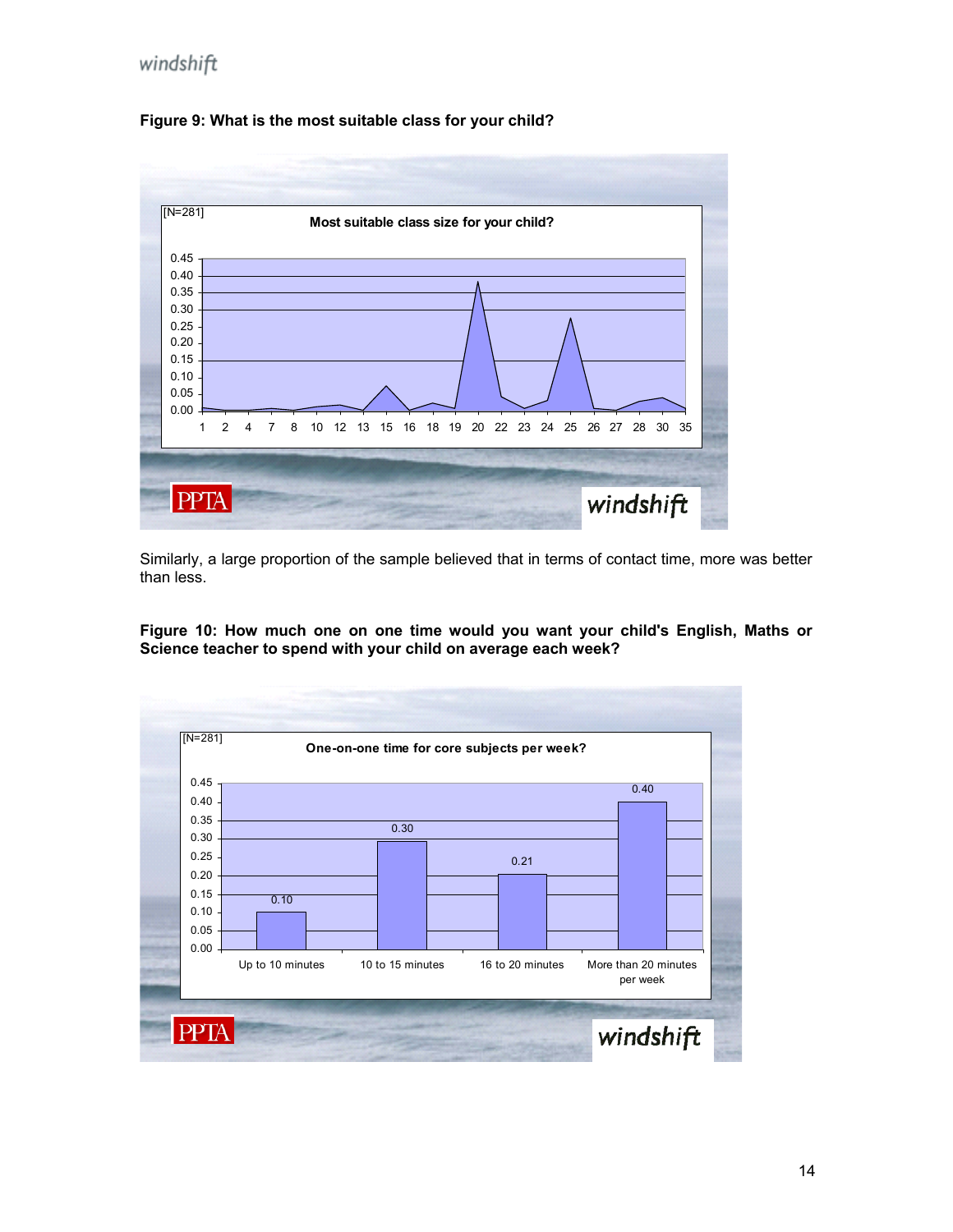



Similarly, a large proportion of the sample believed that in terms of contact time, more was better than less.

**Figure 10: How much one on one time would you want your child's English, Maths or Science teacher to spend with your child on average each week?**

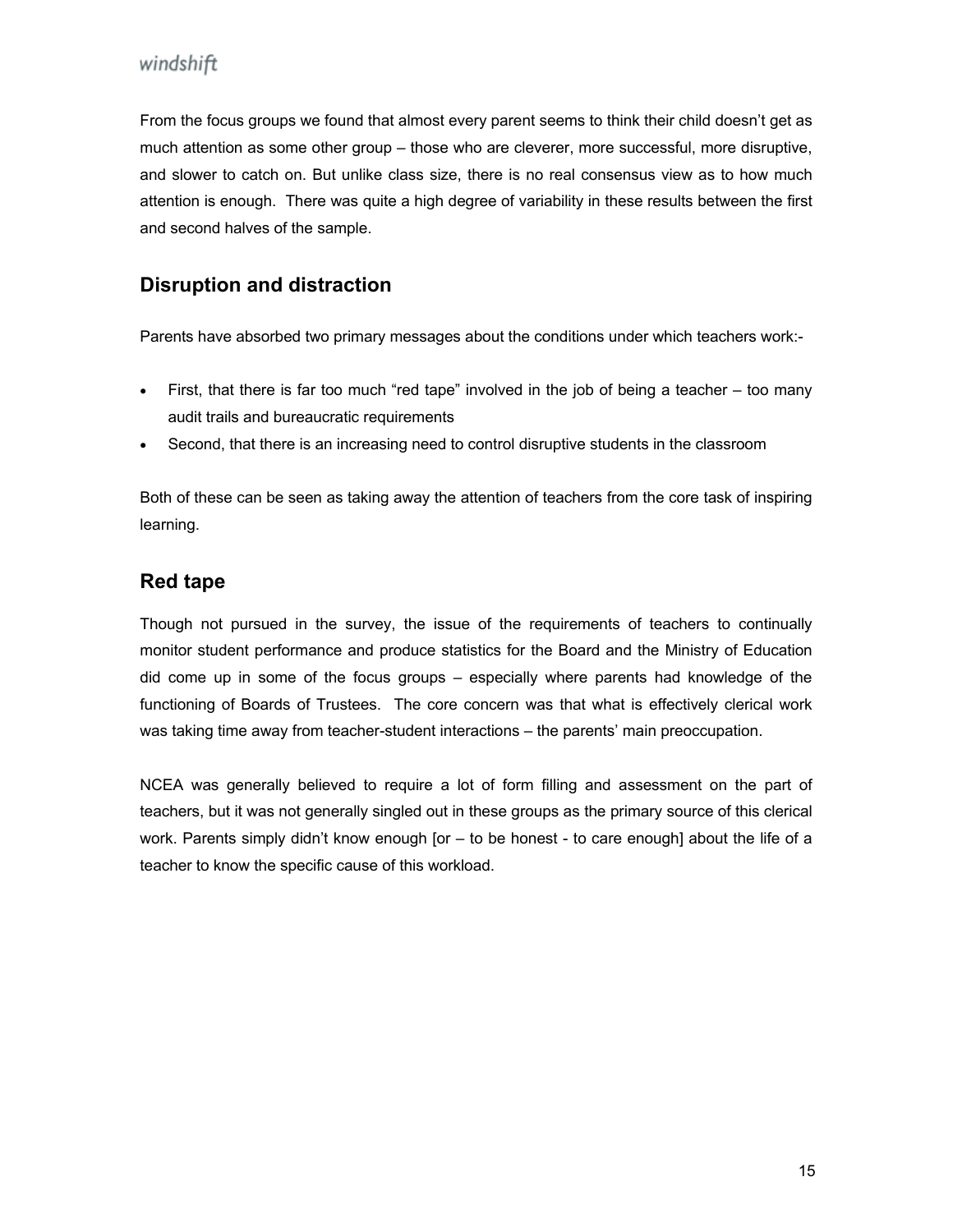From the focus groups we found that almost every parent seems to think their child doesn't get as much attention as some other group – those who are cleverer, more successful, more disruptive, and slower to catch on. But unlike class size, there is no real consensus view as to how much attention is enough. There was quite a high degree of variability in these results between the first and second halves of the sample.

#### **Disruption and distraction**

Parents have absorbed two primary messages about the conditions under which teachers work:-

- First, that there is far too much "red tape" involved in the job of being a teacher too many audit trails and bureaucratic requirements
- Second, that there is an increasing need to control disruptive students in the classroom

Both of these can be seen as taking away the attention of teachers from the core task of inspiring learning.

#### **Red tape**

monitor student performance and produce statistics for the Board and the Ministry of Education did come up in some of the focus groups – especially where parents had knowledge of the functioning of Boards of Trustees. The core concern was that what is effectively clerical work was taking time away from teacher-student interactions – the parents' main preoccupation . Though not pursued in the survey, the issue of the requirements of teachers to continually

NCEA was generally believed to require a lot of form filling and assessment on the part of teachers, but it was not generally singled out in these groups as the primary source of this clerical work. Parents simply didn't know enough [or – to be honest - to care enough] about the life of a teacher to know the specific cause of this workload.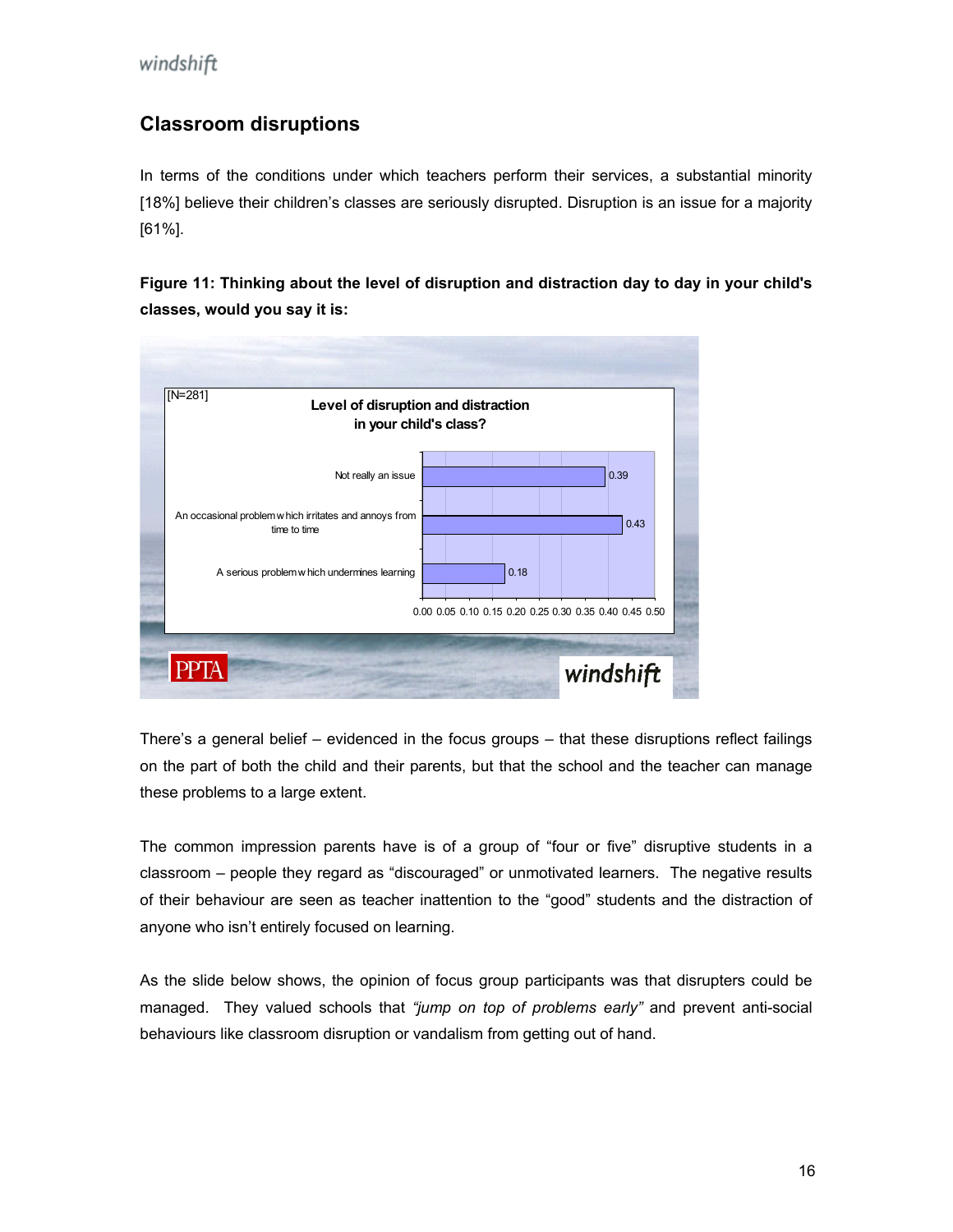## **Classroom disruptions**

In terms of the conditions under which teachers perform their services, a substantial minority [18%] believe their children's classes are seriously disrupted. Disruption is an issue for a majority [61%].

**Figure 11: Thinking about the level of disruption and distraction day to day in your child's lasses, would you say it is: c**



There's a general belief – evidenced in the focus groups – that these disruptions reflect failings on the part of both the child and their parents, but that the school and the teacher can manage these problems to a large extent.

classroom – people they regard as "discouraged" or unmotivated learners. The negative results of their behaviour are seen as teacher inattention to the "good" students and the distraction of anyone who isn't entirely focused on learning. The common impression parents have is of a group of "four or five" disruptive students in a

As the slide below shows, the opinion of focus group participants was that disrupters could be managed. They valued schools that *"jump on top of problems early"* and prevent anti-social behaviours like classroom disruption or vandalism from getting out of hand.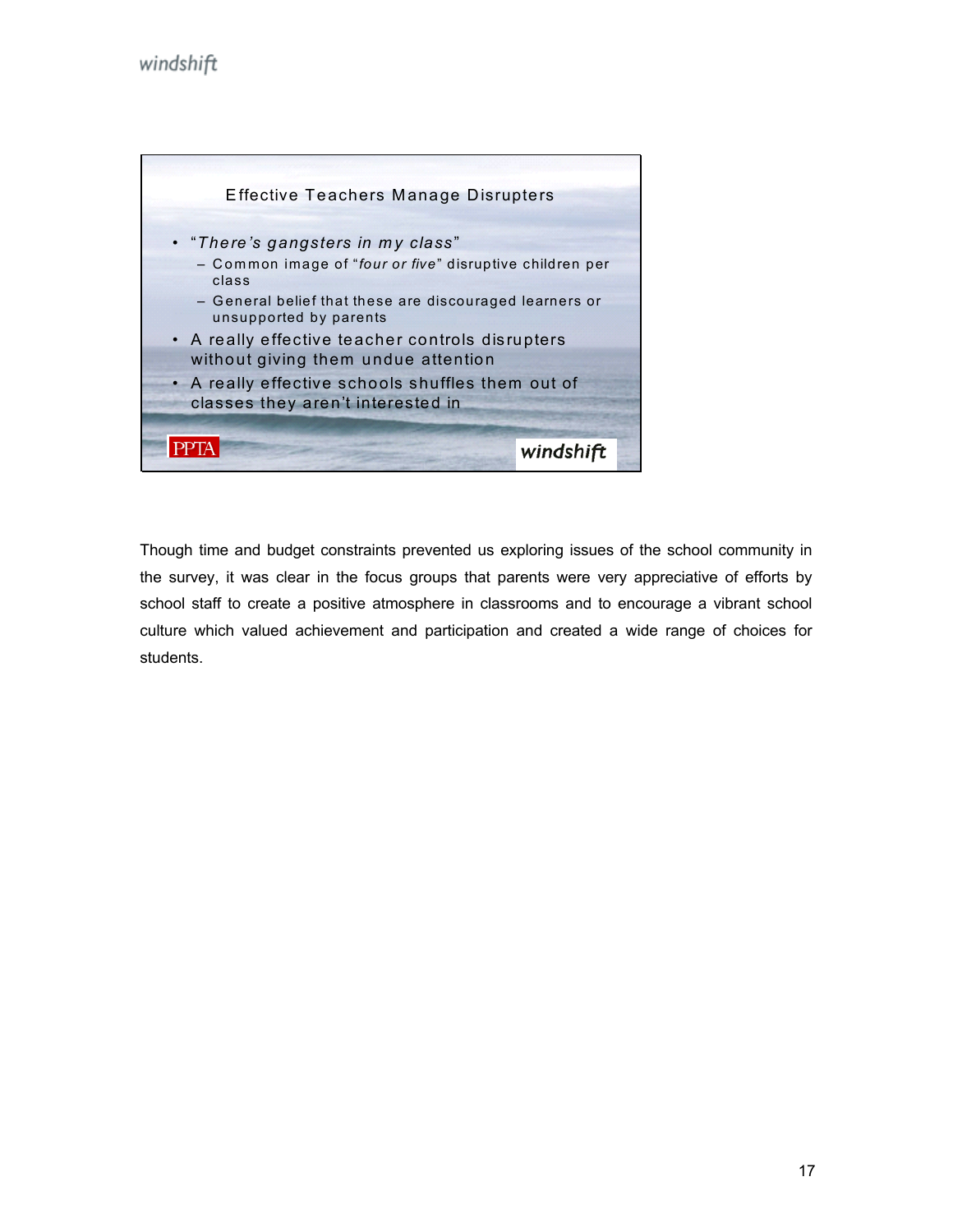

Though time and budget constraints prevented us exploring issues of the school community in the survey, it was clear in the focus groups that parents were very appreciative of efforts by school staff to create a positive atmosphere in classrooms and to encourage a vibrant school culture which valued achievement and participation and created a wide range of choices for students.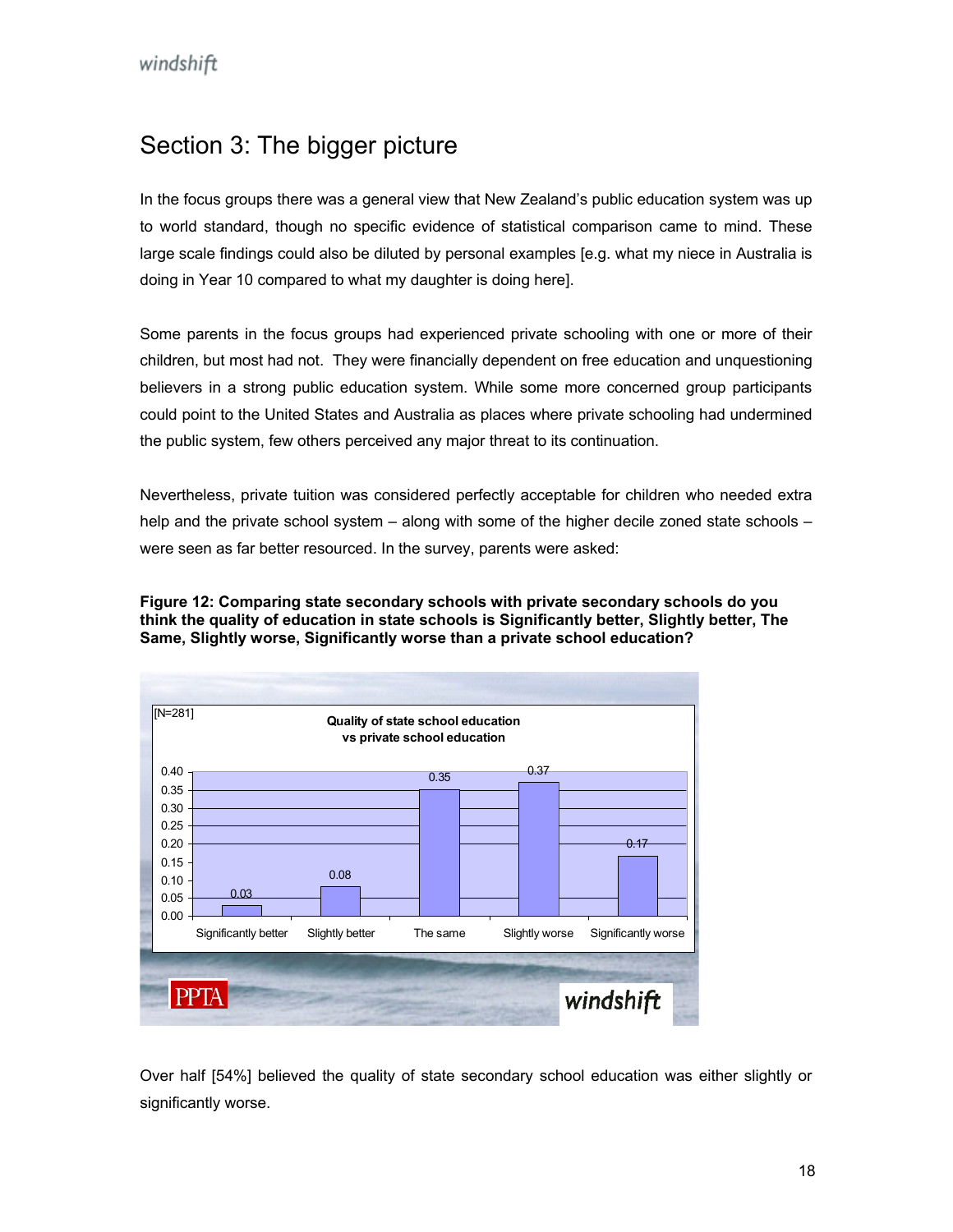## <span id="page-17-0"></span>Section 3: The bigger picture

In the focus groups there was a general view that New Zealand's public education system was up to world standard, though no specific evidence of statistical comparison came to mind. These large scale findings could also be diluted by personal examples [e.g. what my niece in Australia is doing in Year 10 compared to what my daughter is doing here].

Some parents in the focus groups had experienced private schooling with one or more of their children, but most had not. They were financially dependent on free education and unquestioning believers in a strong public education system. While some more concerned group participants could point to the United States and Australia as places where private schooling had undermined the public system, few others perceived any major threat to its continuation.

Nevertheless, private tuition was considered perfectly acceptable for children who needed extra help and the private school system – along with some of the higher decile zoned state schools – were seen as far better resourced. In the survey, parents were asked:

**Figure 12: Comparing state secondary schools with private secondary schools do you think the quality of education in state schools is Significantly better, Slightly better, The Same, Slightly worse, Significantly worse than a private school education?** 



Over half [54%] believed the quality of state secondary school education was either slightly or significantly worse.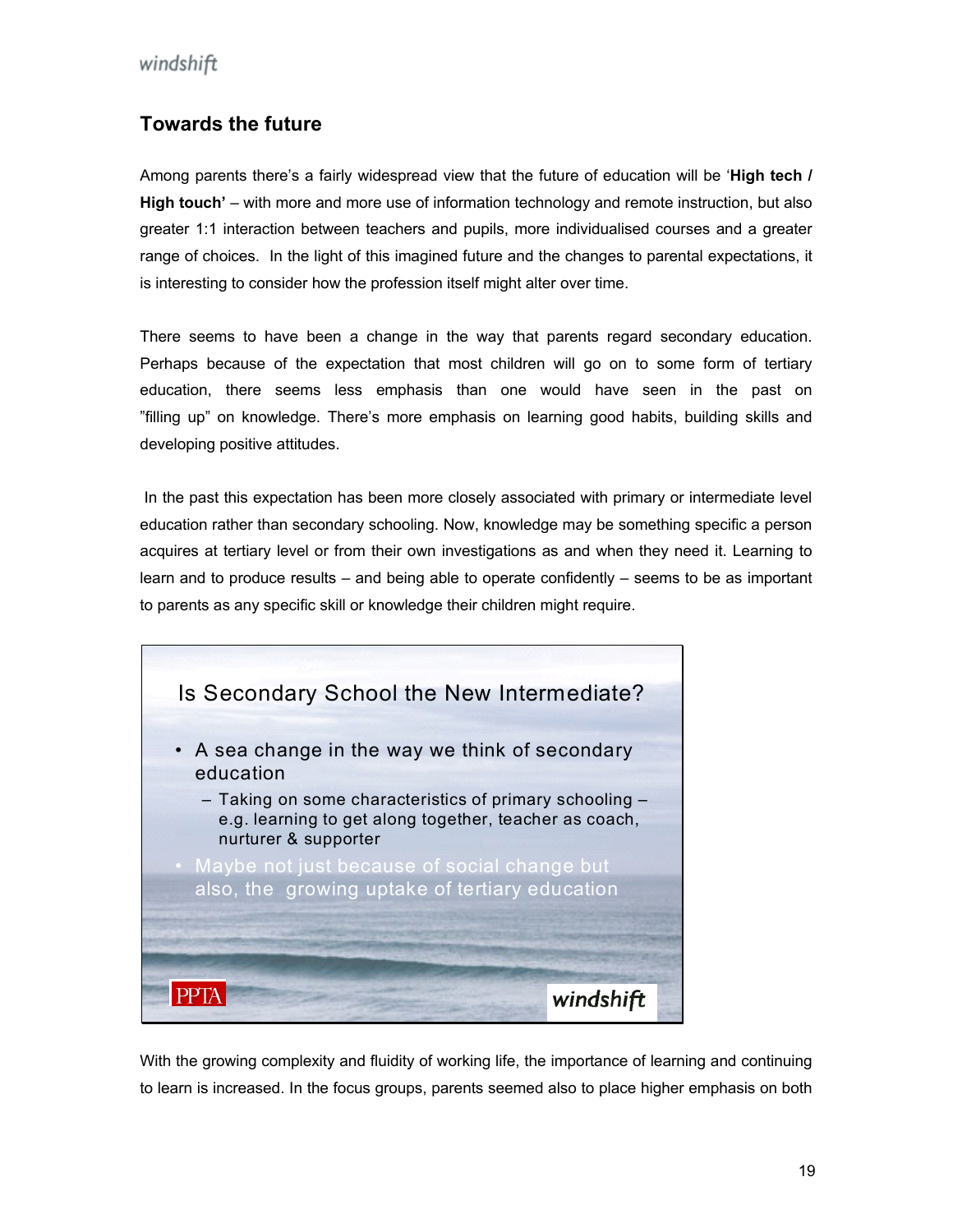#### **Towards the future**

Among parents there's a fairly widespread view that the future of education will be '**High tech /**  is interesting to consider how the profession itself might alter over time. **High touch'** – with more and more use of information technology and remote instruction, but also greater 1:1 interaction between teachers and pupils, more individualised courses and a greater range of choices. In the light of this imagined future and the changes to parental expectations, it

There seems to have been a change in the way that parents regard secondary education. Perhaps because of the expectation that most children will go on to some form of tertiary education, there seems less emphasis than one would have seen in the past on "filling up" on knowledge. There's more emphasis on learning good habits, building skills and developing positive attitudes.

acquires at tertiary level or from their own investigations as and when they need it. Learning to learn and to produce results – and being able to operate confidently – seems to be as important In the past this expectation has been more closely associated with primary or intermediate level education rather than secondary schooling. Now, knowledge may be something specific a person to parents as any specific skill or knowledge their children might require.



With the growing complexity and fluidity of working life, the importance of learning and continuing to learn is increased. In the focus groups, parents seemed also to place higher emphasis on both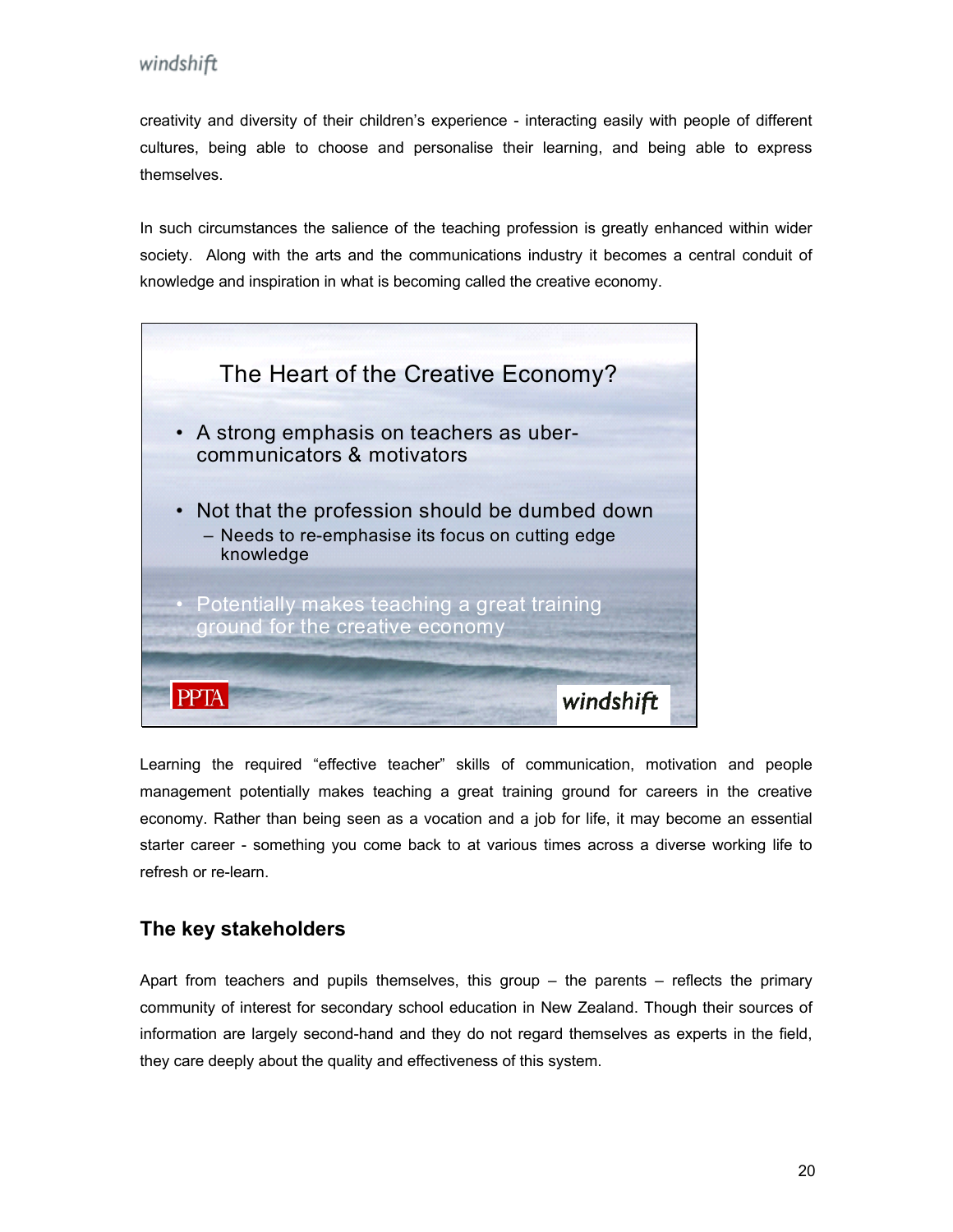creativity and diversity of their children's experience - interacting easily with people of different cultures, being able to choose and personalise their learning, and being able to express themselves.

knowledge and inspiration in what is becoming called the creative economy. In such circumstances the salience of the teaching profession is greatly enhanced within wider society. Along with the arts and the communications industry it becomes a central conduit of



Learning the required "effective teacher" skills of communication, motivation and people management potentially makes teaching a great training ground for careers in the creative economy. Rather than being seen as a vocation and a job for life, it may become an essential starter career - something you come back to at various times across a diverse working life to refresh or re-learn.

#### **The key stakeholders**

Apart from teachers and pupils themselves, this group – the parents – reflects the primary community of interest for secondary school education in New Zealand. Though their sources of information are largely second-hand and they do not regard themselves as experts in the field, they care deeply about the quality and effectiveness of this system.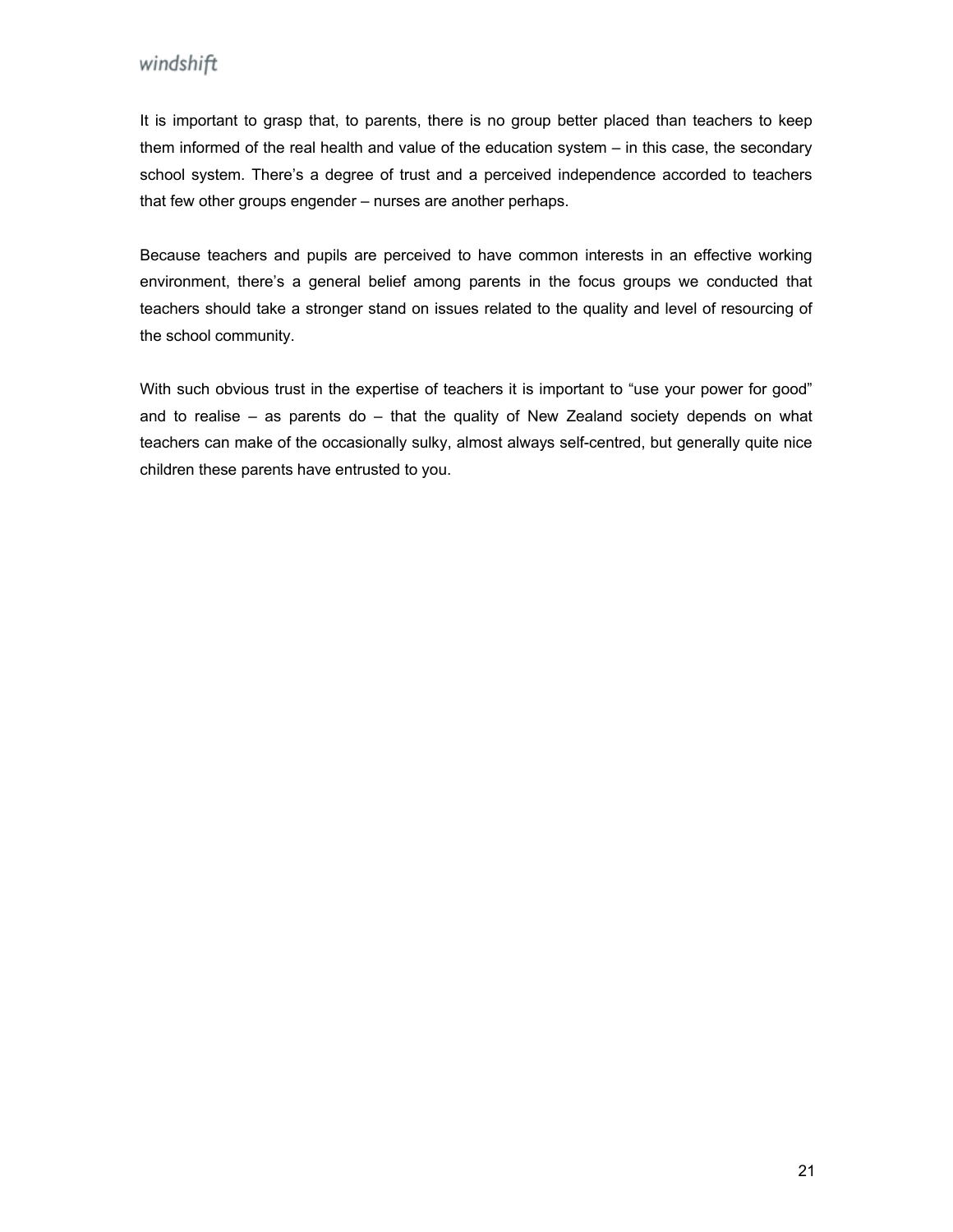It is important to grasp that, to parents, there is no group better placed than teachers to keep them informed of the real health and value of the education system – in this case, the secondary school system. There's a degree of trust and a perceived independence accorded to teachers that few other groups engender – nurses are another perhaps.

environment, there's a general belief among parents in the focus groups we conducted that teachers should take a stronger stand on issues related to the quality and level of resourcing of Because teachers and pupils are perceived to have common interests in an effective working the school community.

With such obvious trust in the expertise of teachers it is important to "use your power for good" and to realise – as parents do – that the quality of New Zealand society depends on what teachers can make of the occasionally sulky, almost always self-centred, but generally quite nice children these parents have entrusted to you.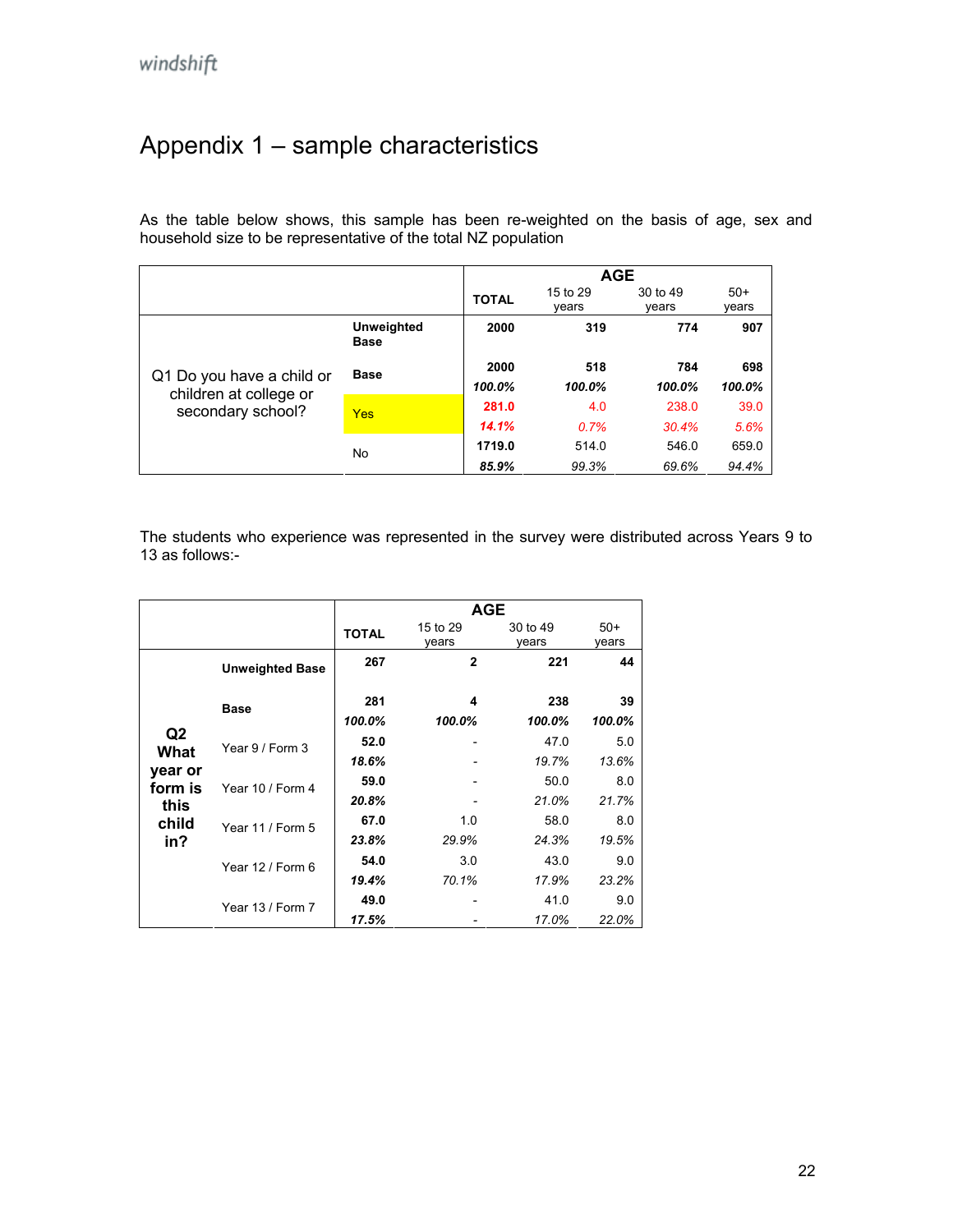## <span id="page-21-0"></span>Appendix 1 – sample characteristics

A s the table below shows, this sample has been re-weighted on the basis of age, sex and h ousehold size to be representative of the total NZ population

|                                                                          |                                  | <b>AGE</b>   |                   |                   |                |  |
|--------------------------------------------------------------------------|----------------------------------|--------------|-------------------|-------------------|----------------|--|
|                                                                          |                                  | <b>TOTAL</b> | 15 to 29<br>vears | 30 to 49<br>vears | $50+$<br>vears |  |
|                                                                          | <b>Unweighted</b><br><b>Base</b> | 2000         | 319               | 774               | 907            |  |
| Q1 Do you have a child or<br>children at college or<br>secondary school? | <b>Base</b>                      | 2000         | 518               | 784               | 698            |  |
|                                                                          |                                  | 100.0%       | 100.0%            | 100.0%            | 100.0%         |  |
|                                                                          | Yes                              | 281.0        | 4.0               | 238.0             | 39.0           |  |
|                                                                          |                                  | 14.1%        | 0.7%              | 30.4%             | 5.6%           |  |
|                                                                          | No                               | 1719.0       | 514.0             | 546.0             | 659.0          |  |
|                                                                          |                                  | 85.9%        | 99.3%             | 69.6%             | 94.4%          |  |

The students who experience was represented in the survey were distributed across Years 9 to 13 as follows:-

|         |                                                              | <b>AGE</b>   |                   |                   |                |  |  |
|---------|--------------------------------------------------------------|--------------|-------------------|-------------------|----------------|--|--|
|         |                                                              | <b>TOTAL</b> | 15 to 29<br>vears | 30 to 49<br>years | $50+$<br>vears |  |  |
|         | <b>Unweighted Base</b>                                       | 267          | $\mathbf{2}$      | 221               | 44             |  |  |
|         | <b>Base</b>                                                  | 281          | 4                 | 238               | 39             |  |  |
|         |                                                              | 100.0%       | 100.0%            | 100.0%            | 100.0%         |  |  |
|         | Q2<br>Year 9 / Form 3<br>What<br>year or<br>Year 10 / Form 4 | 52.0         |                   | 47.0              | 5.0            |  |  |
|         |                                                              | 18.6%        |                   | 19.7%             | 13.6%          |  |  |
| form is |                                                              | 59.0         |                   | 50.0              | 8.0            |  |  |
| this    |                                                              | 20.8%        |                   | 21.0%             | 21.7%          |  |  |
| child   | Year 11 / Form 5<br>Year 12 / Form 6                         | 67.0         | 1.0               | 58.0              | 8.0            |  |  |
| in?     |                                                              | 23.8%        | 29.9%             | 24.3%             | 19.5%          |  |  |
|         |                                                              | 54.0         | 3.0               | 43.0              | 9.0            |  |  |
|         |                                                              | 19.4%        | 70.1%             | 17.9%             | 23.2%          |  |  |
|         | Year 13 / Form 7                                             | 49.0         |                   | 41.0              | 9.0            |  |  |
|         |                                                              | 17.5%        |                   | 17.0%             | 22.0%          |  |  |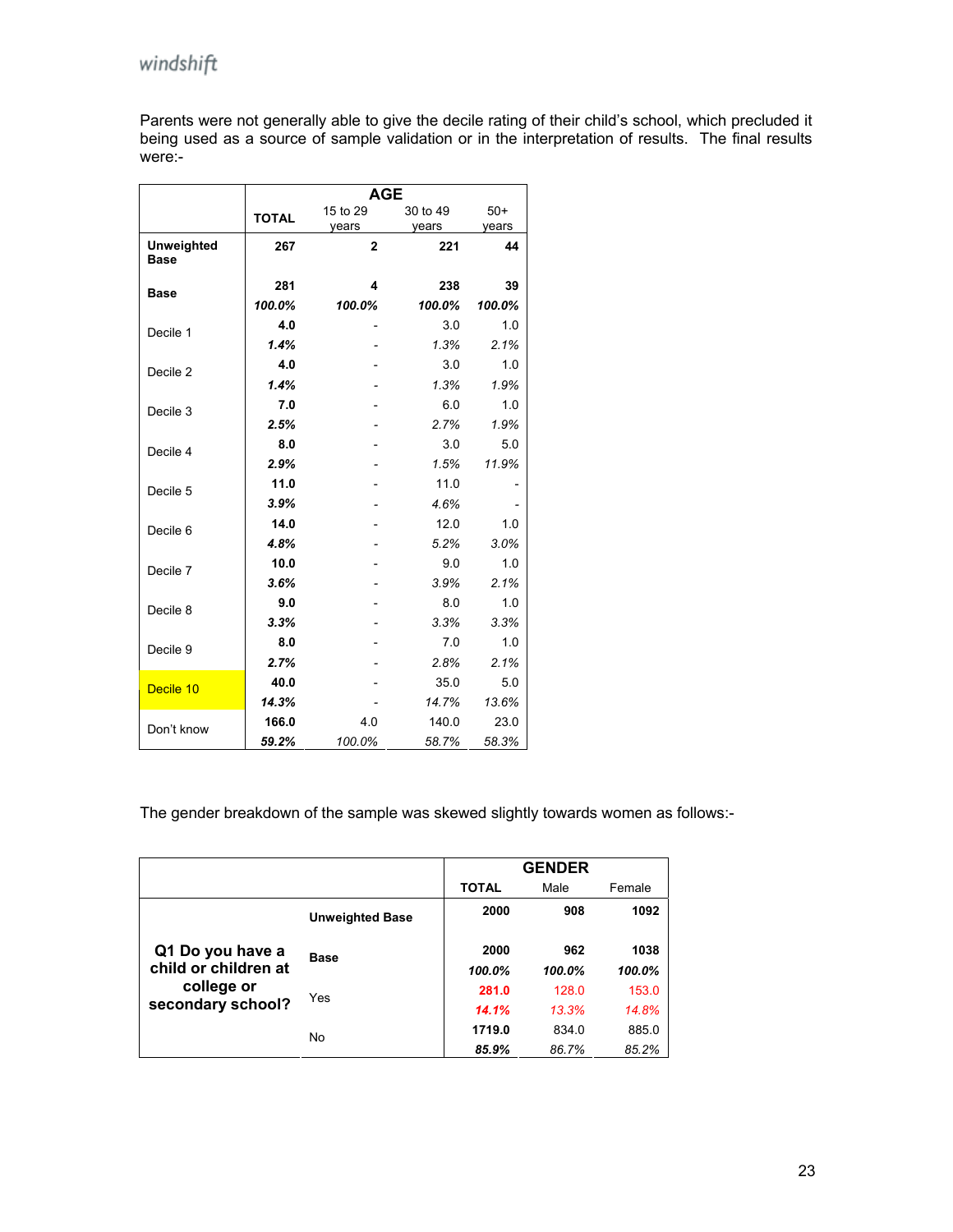Parents were not generally able to give the decile rating of their child's school, which precluded it being used as a source of sample validation or in the interpretation of results. The final results were:-

|                                  | <b>AGE</b>   |          |          |        |  |  |
|----------------------------------|--------------|----------|----------|--------|--|--|
|                                  | <b>TOTAL</b> | 15 to 29 | 30 to 49 | $50+$  |  |  |
|                                  |              | years    | years    | years  |  |  |
| <b>Unweighted</b><br><b>Base</b> | 267          | 2        | 221      | 44     |  |  |
| <b>Base</b>                      | 281          | 4        | 238      | 39     |  |  |
|                                  | 100.0%       | 100.0%   | 100.0%   | 100.0% |  |  |
| Decile 1                         | 4.0          |          | 3.0      | 1.0    |  |  |
|                                  | 1.4%         |          | 1.3%     | 2.1%   |  |  |
| Decile 2                         | 4.0          |          | 3.0      | 1.0    |  |  |
|                                  | 1.4%         |          | 1.3%     | 1.9%   |  |  |
| Decile 3                         | 7.0          |          | 6.0      | 1.0    |  |  |
|                                  | 2.5%         |          | 2.7%     | 1.9%   |  |  |
| Decile 4                         | 8.0          |          | 3.0      | 5.0    |  |  |
|                                  | 2.9%         |          | 1.5%     | 11.9%  |  |  |
| Decile 5                         | 11.0         |          | 11.0     |        |  |  |
|                                  | 3.9%         |          | 4.6%     |        |  |  |
| Decile 6                         | 14.0         |          | 12.0     | 1.0    |  |  |
|                                  | 4.8%         |          | 5.2%     | 3.0%   |  |  |
| Decile 7                         | 10.0         |          | 9.0      | 1.0    |  |  |
|                                  | 3.6%         |          | 3.9%     | 2.1%   |  |  |
| Decile 8                         | 9.0          |          | 8.0      | 1.0    |  |  |
|                                  | 3.3%         |          | 3.3%     | 3.3%   |  |  |
| Decile 9                         | 8.0          |          | 7.0      | 1.0    |  |  |
|                                  | 2.7%         |          | 2.8%     | 2.1%   |  |  |
| Decile 10                        | 40.0         |          | 35.0     | 5.0    |  |  |
|                                  | 14.3%        |          | 14.7%    | 13.6%  |  |  |
| Don't know                       | 166.0        | 4.0      | 140.0    | 23.0   |  |  |
|                                  | 59.2%        | 100.0%   | 58.7%    | 58.3%  |  |  |

The gender breakdown of the sample was skewed slightly towards women as follows:-

|                                 |                        |              | <b>GENDER</b> |        |
|---------------------------------|------------------------|--------------|---------------|--------|
|                                 |                        | <b>TOTAL</b> | Male          | Female |
|                                 | <b>Unweighted Base</b> | 2000         | 908           | 1092   |
| Q1 Do you have a                | <b>Base</b>            | 2000         | 962           | 1038   |
| child or children at            |                        | 100.0%       | 100.0%        | 100.0% |
| college or<br>secondary school? | Yes                    | 281.0        | 128.0         | 153.0  |
|                                 |                        | 14.1%        | 13.3%         | 14.8%  |
|                                 | No                     | 1719.0       | 834.0         | 885.0  |
|                                 |                        | 85.9%        | 86.7%         | 85.2%  |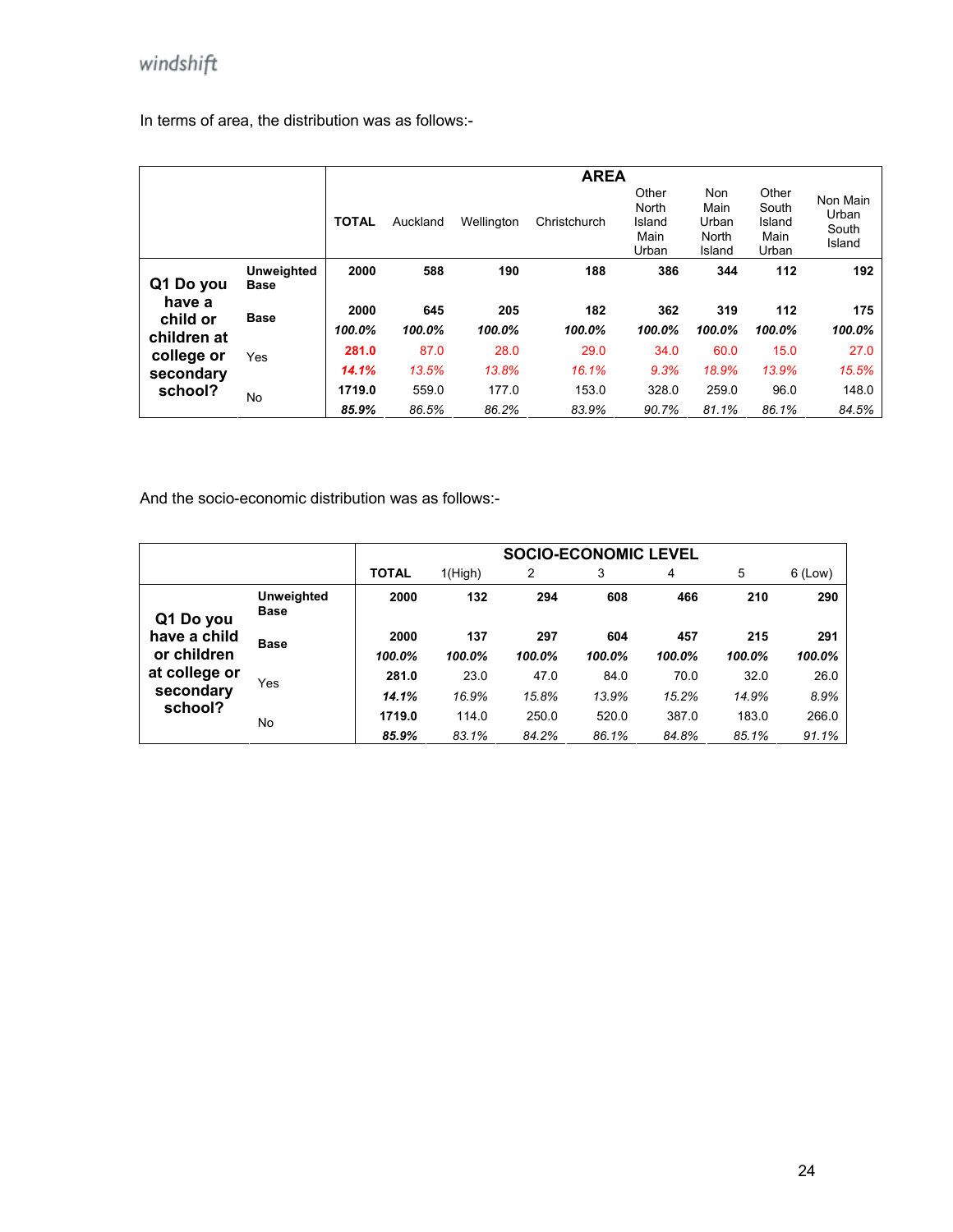In terms of area, the distribution was as follows:-

|                    |                                  |              | <b>AREA</b> |            |              |                                           |                                         |                                           |                                      |
|--------------------|----------------------------------|--------------|-------------|------------|--------------|-------------------------------------------|-----------------------------------------|-------------------------------------------|--------------------------------------|
|                    |                                  | <b>TOTAL</b> | Auckland    | Wellington | Christchurch | Other<br>North<br>Island<br>Main<br>Urban | Non<br>Main<br>Urban<br>North<br>Island | Other<br>South<br>Island<br>Main<br>Urban | Non Main<br>Urban<br>South<br>Island |
| Q1 Do you          | <b>Unweighted</b><br><b>Base</b> | 2000         | 588         | 190        | 188          | 386                                       | 344                                     | 112                                       | 192                                  |
| have a<br>child or | <b>Base</b>                      | 2000         | 645         | 205        | 182          | 362                                       | 319                                     | 112                                       | 175                                  |
| children at        |                                  | 100.0%       | 100.0%      | 100.0%     | 100.0%       | 100.0%                                    | 100.0%                                  | 100.0%                                    | 100.0%                               |
| college or         | Yes                              | 281.0        | 87.0        | 28.0       | 29.0         | 34.0                                      | 60.0                                    | 15.0                                      | 27.0                                 |
| secondary          |                                  | 14.1%        | 13.5%       | 13.8%      | 16.1%        | 9.3%                                      | 18.9%                                   | 13.9%                                     | 15.5%                                |
| school?            | No                               | 1719.0       | 559.0       | 177.0      | 153.0        | 328.0                                     | 259.0                                   | 96.0                                      | 148.0                                |
|                    |                                  | 85.9%        | 86.5%       | 86.2%      | 83.9%        | 90.7%                                     | 81.1%                                   | 86.1%                                     | 84.5%                                |

And the socio-economic distribution was as follows:-

|                             |                                  | <b>SOCIO-ECONOMIC LEVEL</b> |                |                |                |                |                |                |
|-----------------------------|----------------------------------|-----------------------------|----------------|----------------|----------------|----------------|----------------|----------------|
|                             |                                  | <b>TOTAL</b>                | 1(High)        | 2              | 3              | 4              | 5              | 6 (Low)        |
| Q1 Do you                   | <b>Unweighted</b><br><b>Base</b> | 2000                        | 132            | 294            | 608            | 466            | 210            | 290            |
| have a child<br>or children | <b>Base</b>                      | 2000<br>100.0%              | 137<br>100.0%  | 297<br>100.0%  | 604<br>100.0%  | 457<br>100.0%  | 215<br>100.0%  | 291<br>100.0%  |
| at college or<br>secondary  | Yes                              | 281.0<br>14.1%              | 23.0<br>16.9%  | 47.0<br>15.8%  | 84.0<br>13.9%  | 70.0<br>15.2%  | 32.0<br>14.9%  | 26.0<br>8.9%   |
| school?                     | No                               | 1719.0<br>85.9%             | 114.0<br>83.1% | 250.0<br>84.2% | 520.0<br>86.1% | 387.0<br>84.8% | 183.0<br>85.1% | 266.0<br>91.1% |